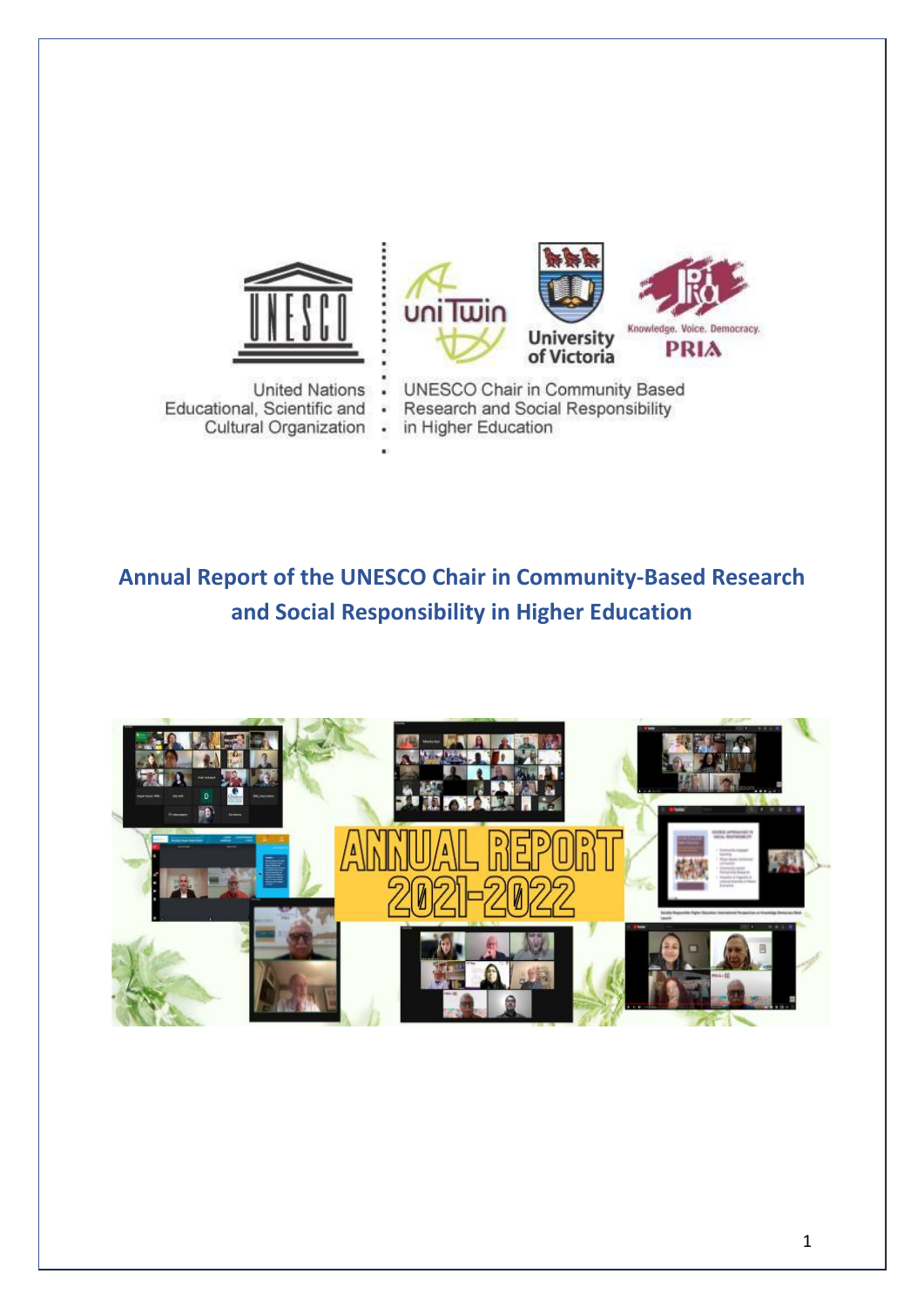

**United Nations** Educational, Scientific and Cultural Organization .





UNESCO Chair in Community Based Research and Social Responsibility  $\bullet$ in Higher Education

# **Annual Report of the UNESCO Chair in Community-Based Research and Social Responsibility in Higher Education**

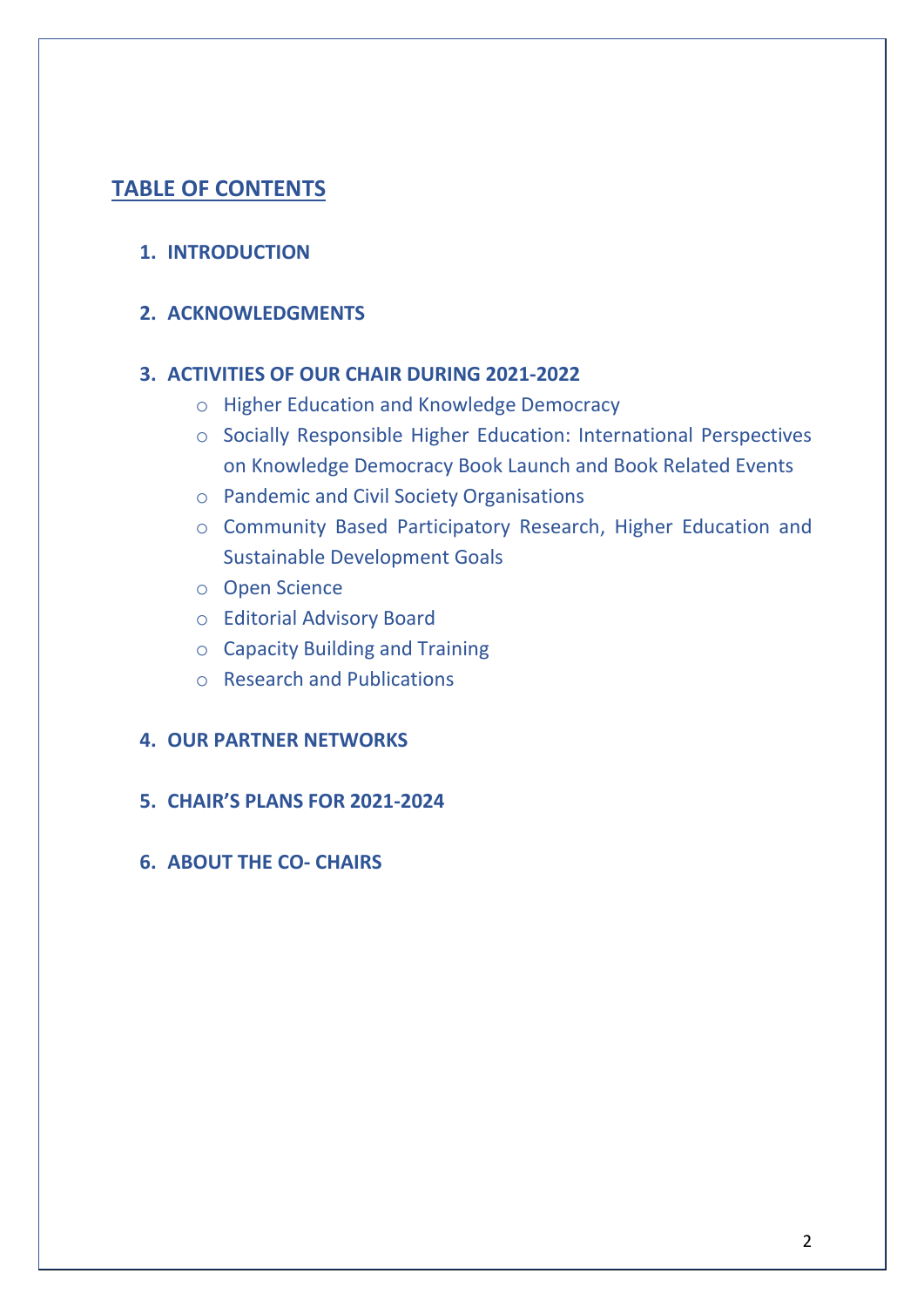# **TABLE OF CONTENTS**

# **1. INTRODUCTION**

# **2. ACKNOWLEDGMENTS**

# **3. ACTIVITIES OF OUR CHAIR DURING 2021-2022**

- o Higher Education and Knowledge Democracy
- o Socially Responsible Higher Education: International Perspectives on Knowledge Democracy Book Launch and Book Related Events
- o Pandemic and Civil Society Organisations
- o Community Based Participatory Research, Higher Education and Sustainable Development Goals
- o Open Science
- o Editorial Advisory Board
- o Capacity Building and Training
- o Research and Publications

# **4. OUR PARTNER NETWORKS**

**5. CHAIR'S PLANS FOR 2021-2024**

# **6. ABOUT THE CO- CHAIRS**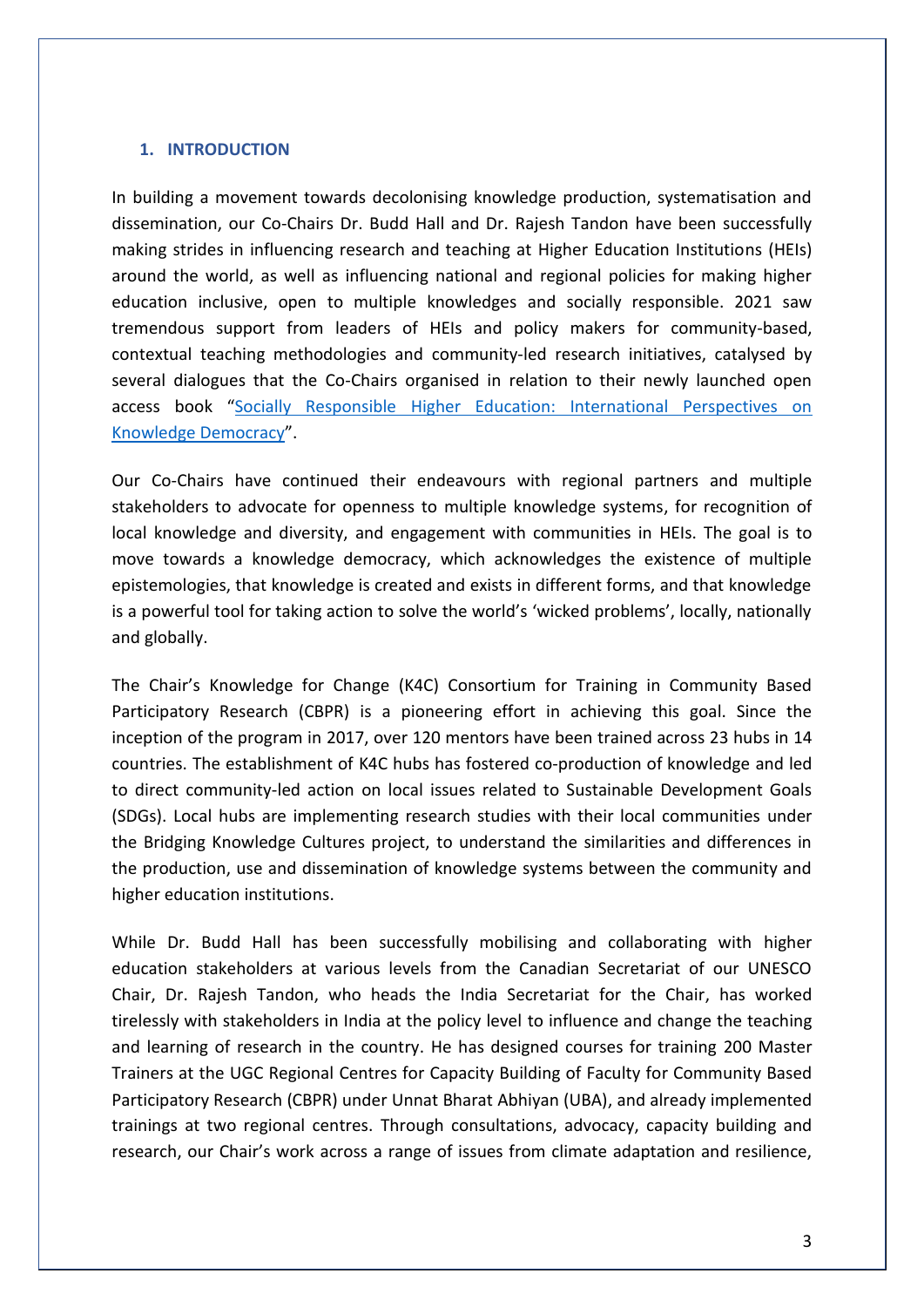### **1. INTRODUCTION**

In building a movement towards decolonising knowledge production, systematisation and dissemination, our Co-Chairs Dr. Budd Hall and Dr. Rajesh Tandon have been successfully making strides in influencing research and teaching at Higher Education Institutions (HEIs) around the world, as well as influencing national and regional policies for making higher education inclusive, open to multiple knowledges and socially responsible. 2021 saw tremendous support from leaders of HEIs and policy makers for community-based, contextual teaching methodologies and community-led research initiatives, catalysed by several dialogues that the Co-Chairs organised in relation to their newly launched open access book "[Socially Responsible Higher Education: International Perspectives on](https://brill.com/view/title/59847?rskey=l24j2w&result=1)  [Knowledge Democracy](https://brill.com/view/title/59847?rskey=l24j2w&result=1)".

Our Co-Chairs have continued their endeavours with regional partners and multiple stakeholders to advocate for openness to multiple knowledge systems, for recognition of local knowledge and diversity, and engagement with communities in HEIs. The goal is to move towards a knowledge democracy, which acknowledges the existence of multiple epistemologies, that knowledge is created and exists in different forms, and that knowledge is a powerful tool for taking action to solve the world's 'wicked problems', locally, nationally and globally.

The Chair's Knowledge for Change (K4C) Consortium for Training in Community Based Participatory Research (CBPR) is a pioneering effort in achieving this goal. Since the inception of the program in 2017, over 120 mentors have been trained across 23 hubs in 14 countries. The establishment of K4C hubs has fostered co-production of knowledge and led to direct community-led action on local issues related to Sustainable Development Goals (SDGs). Local hubs are implementing research studies with their local communities under the Bridging Knowledge Cultures project, to understand the similarities and differences in the production, use and dissemination of knowledge systems between the community and higher education institutions.

While Dr. Budd Hall has been successfully mobilising and collaborating with higher education stakeholders at various levels from the Canadian Secretariat of our UNESCO Chair, Dr. Rajesh Tandon, who heads the India Secretariat for the Chair, has worked tirelessly with stakeholders in India at the policy level to influence and change the teaching and learning of research in the country. He has designed courses for training 200 Master Trainers at the UGC Regional Centres for Capacity Building of Faculty for Community Based Participatory Research (CBPR) under Unnat Bharat Abhiyan (UBA), and already implemented trainings at two regional centres. Through consultations, advocacy, capacity building and research, our Chair's work across a range of issues from climate adaptation and resilience,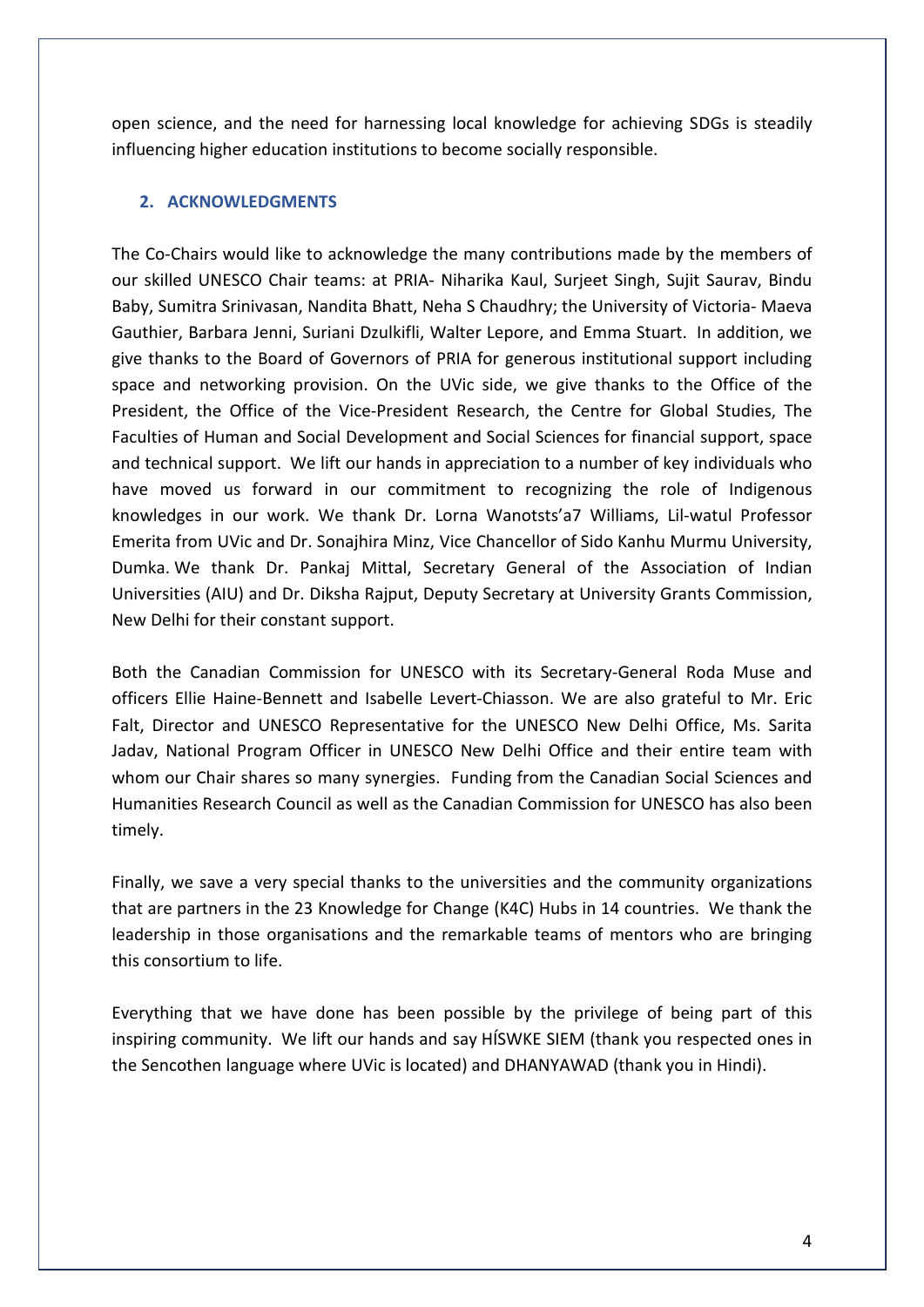open science, and the need for harnessing local knowledge for achieving SDGs is steadily influencing higher education institutions to become socially responsible.

### **2. ACKNOWLEDGMENTS**

The Co-Chairs would like to acknowledge the many contributions made by the members of our skilled UNESCO Chair teams: at PRIA- Niharika Kaul, Surjeet Singh, Sujit Saurav, Bindu Baby, Sumitra Srinivasan, Nandita Bhatt, Neha S Chaudhry; the University of Victoria- Maeva Gauthier, Barbara Jenni, Suriani Dzulkifli, Walter Lepore, and Emma Stuart. In addition, we give thanks to the Board of Governors of PRIA for generous institutional support including space and networking provision. On the UVic side, we give thanks to the Office of the President, the Office of the Vice-President Research, the Centre for Global Studies, The Faculties of Human and Social Development and Social Sciences for financial support, space and technical support. We lift our hands in appreciation to a number of key individuals who have moved us forward in our commitment to recognizing the role of Indigenous knowledges in our work. We thank Dr. Lorna Wanotsts'a7 Williams, Lil-watul Professor Emerita from UVic and Dr. Sonajhira Minz, Vice Chancellor of Sido Kanhu Murmu University, Dumka. We thank Dr. Pankaj Mittal, Secretary General of the Association of Indian Universities (AIU) and Dr. Diksha Rajput, Deputy Secretary at University Grants Commission, New Delhi for their constant support.

Both the Canadian Commission for UNESCO with its Secretary-General Roda Muse and officers Ellie Haine-Bennett and Isabelle Levert-Chiasson. We are also grateful to Mr. Eric Falt, Director and UNESCO Representative for the UNESCO New Delhi Office, Ms. Sarita Jadav, National Program Officer in UNESCO New Delhi Office and their entire team with whom our Chair shares so many synergies. Funding from the Canadian Social Sciences and Humanities Research Council as well as the Canadian Commission for UNESCO has also been timely.

Finally, we save a very special thanks to the universities and the community organizations that are partners in the 23 Knowledge for Change (K4C) Hubs in 14 countries. We thank the leadership in those organisations and the remarkable teams of mentors who are bringing this consortium to life.

Everything that we have done has been possible by the privilege of being part of this inspiring community. We lift our hands and say HÍSWKE SIEM (thank you respected ones in the Sencothen language where UVic is located) and DHANYAWAD (thank you in Hindi).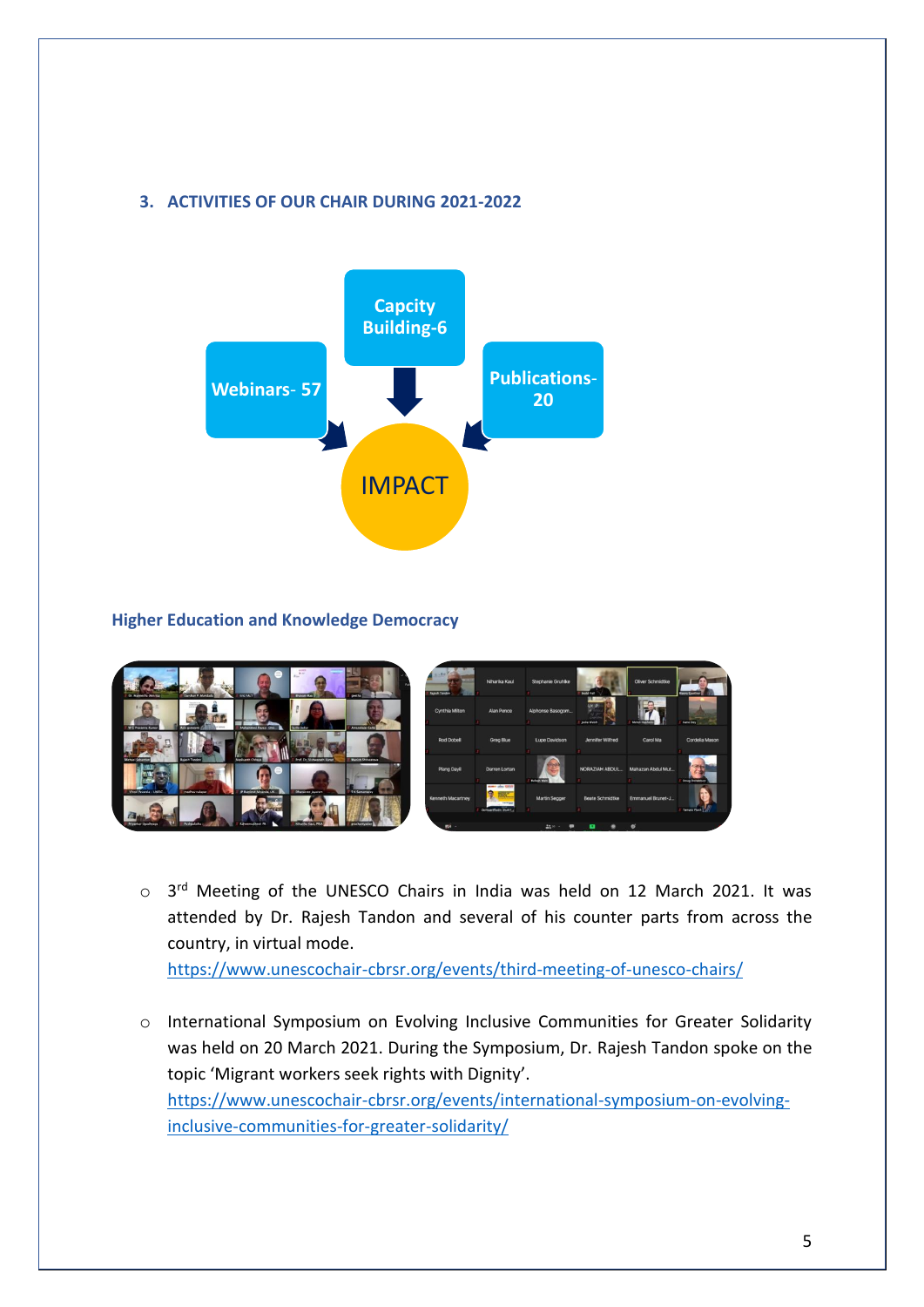# **3. ACTIVITIES OF OUR CHAIR DURING 2021-2022**



# **Higher Education and Knowledge Democracy**



o 3<sup>rd</sup> Meeting of the UNESCO Chairs in India was held on 12 March 2021. It was attended by Dr. Rajesh Tandon and several of his counter parts from across the country, in virtual mode.

<https://www.unescochair-cbrsr.org/events/third-meeting-of-unesco-chairs/>

o International Symposium on Evolving Inclusive Communities for Greater Solidarity was held on 20 March 2021. During the Symposium, Dr. Rajesh Tandon spoke on the topic 'Migrant workers seek rights with Dignity'. [https://www.unescochair-cbrsr.org/events/international-symposium-on-evolving](https://www.unescochair-cbrsr.org/events/international-symposium-on-evolving-inclusive-communities-for-greater-solidarity/)[inclusive-communities-for-greater-solidarity/](https://www.unescochair-cbrsr.org/events/international-symposium-on-evolving-inclusive-communities-for-greater-solidarity/)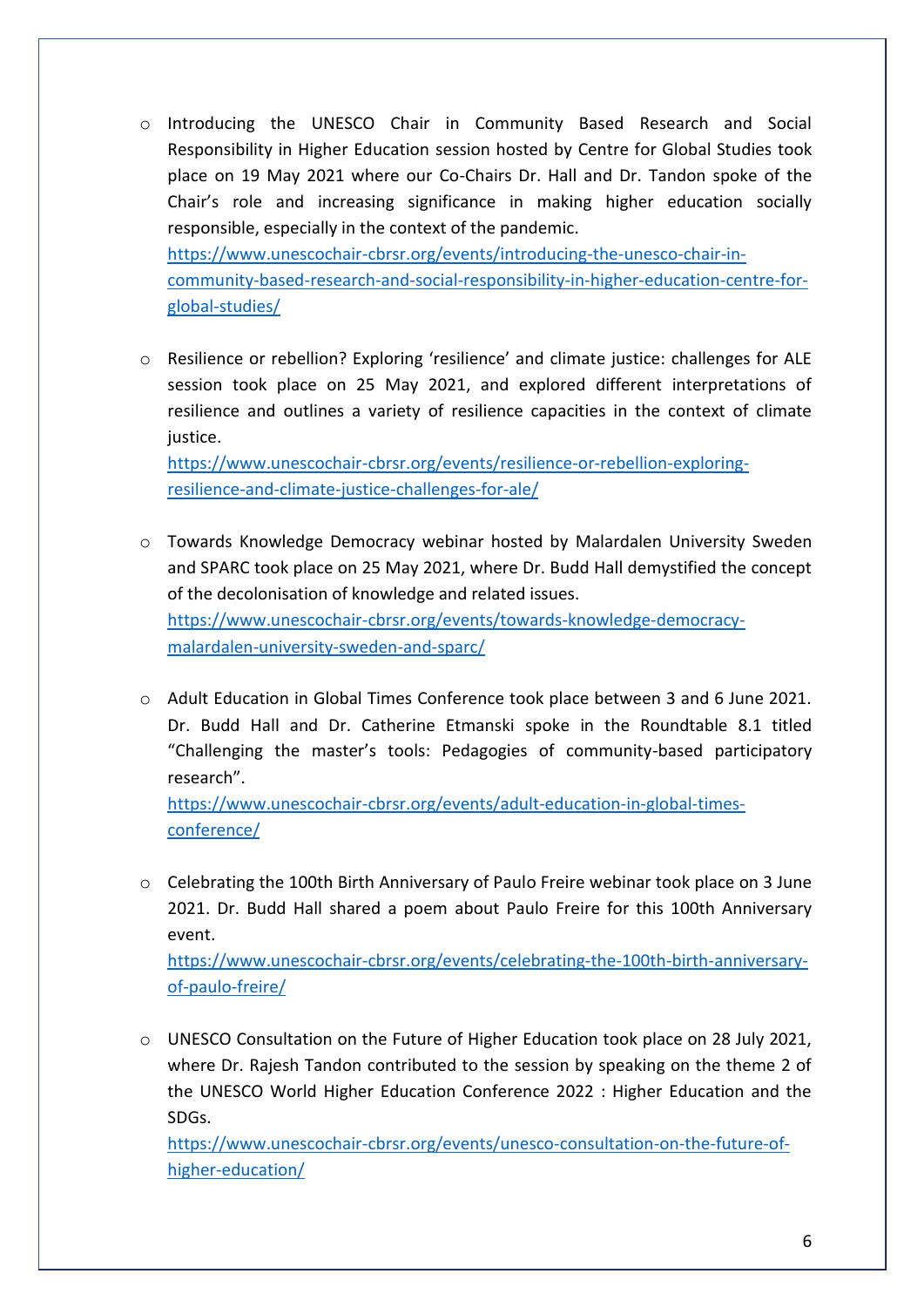o Introducing the UNESCO Chair in Community Based Research and Social Responsibility in Higher Education session hosted by Centre for Global Studies took place on 19 May 2021 where our Co-Chairs Dr. Hall and Dr. Tandon spoke of the Chair's role and increasing significance in making higher education socially responsible, especially in the context of the pandemic.

[https://www.unescochair-cbrsr.org/events/introducing-the-unesco-chair-in](https://www.unescochair-cbrsr.org/events/introducing-the-unesco-chair-in-community-based-research-and-social-responsibility-in-higher-education-centre-for-global-studies/)[community-based-research-and-social-responsibility-in-higher-education-centre-for](https://www.unescochair-cbrsr.org/events/introducing-the-unesco-chair-in-community-based-research-and-social-responsibility-in-higher-education-centre-for-global-studies/)[global-studies/](https://www.unescochair-cbrsr.org/events/introducing-the-unesco-chair-in-community-based-research-and-social-responsibility-in-higher-education-centre-for-global-studies/)

o Resilience or rebellion? Exploring 'resilience' and climate justice: challenges for ALE session took place on 25 May 2021, and explored different interpretations of resilience and outlines a variety of resilience capacities in the context of climate justice.

[https://www.unescochair-cbrsr.org/events/resilience-or-rebellion-exploring](https://www.unescochair-cbrsr.org/events/resilience-or-rebellion-exploring-resilience-and-climate-justice-challenges-for-ale/)[resilience-and-climate-justice-challenges-for-ale/](https://www.unescochair-cbrsr.org/events/resilience-or-rebellion-exploring-resilience-and-climate-justice-challenges-for-ale/)

- o Towards Knowledge Democracy webinar hosted by Malardalen University Sweden and SPARC took place on 25 May 2021, where Dr. Budd Hall demystified the concept of the decolonisation of knowledge and related issues. [https://www.unescochair-cbrsr.org/events/towards-knowledge-democracy](https://www.unescochair-cbrsr.org/events/towards-knowledge-democracy-malardalen-university-sweden-and-sparc/)[malardalen-university-sweden-and-sparc/](https://www.unescochair-cbrsr.org/events/towards-knowledge-democracy-malardalen-university-sweden-and-sparc/)
- o Adult Education in Global Times Conference took place between 3 and 6 June 2021. Dr. Budd Hall and Dr. Catherine Etmanski spoke in the Roundtable 8.1 titled "Challenging the master's tools: Pedagogies of community-based participatory research".

[https://www.unescochair-cbrsr.org/events/adult-education-in-global-times](https://www.unescochair-cbrsr.org/events/adult-education-in-global-times-conference/)[conference/](https://www.unescochair-cbrsr.org/events/adult-education-in-global-times-conference/)

o Celebrating the 100th Birth Anniversary of Paulo Freire webinar took place on 3 June 2021. Dr. Budd Hall shared a poem about Paulo Freire for this 100th Anniversary event.

[https://www.unescochair-cbrsr.org/events/celebrating-the-100th-birth-anniversary](https://www.unescochair-cbrsr.org/events/celebrating-the-100th-birth-anniversary-of-paulo-freire/)[of-paulo-freire/](https://www.unescochair-cbrsr.org/events/celebrating-the-100th-birth-anniversary-of-paulo-freire/)

o UNESCO Consultation on the Future of Higher Education took place on 28 July 2021, where Dr. Rajesh Tandon contributed to the session by speaking on the theme 2 of the UNESCO World Higher Education Conference 2022 : Higher Education and the SDGs.

[https://www.unescochair-cbrsr.org/events/unesco-consultation-on-the-future-of](https://www.unescochair-cbrsr.org/events/unesco-consultation-on-the-future-of-higher-education/)[higher-education/](https://www.unescochair-cbrsr.org/events/unesco-consultation-on-the-future-of-higher-education/)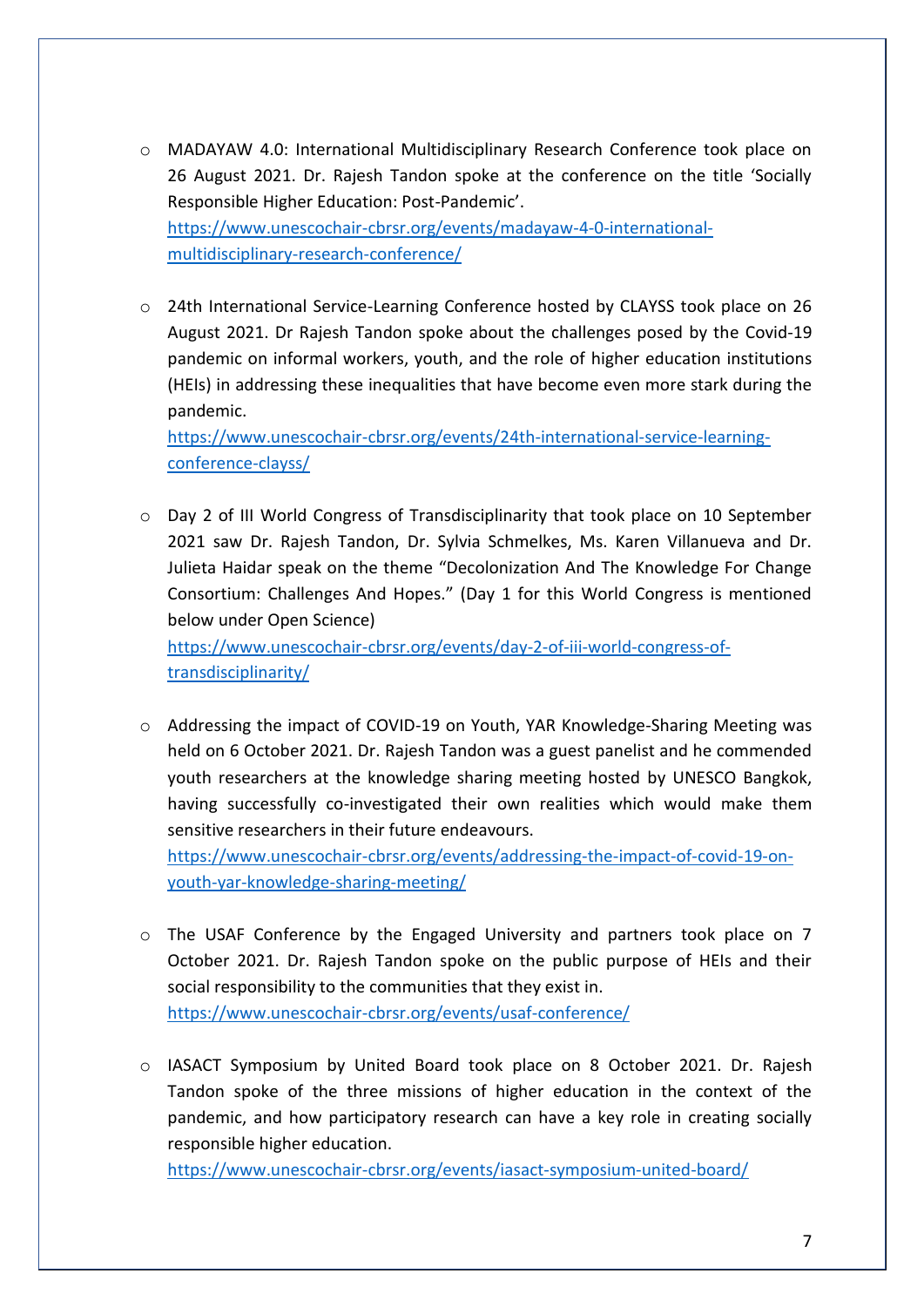- o MADAYAW 4.0: International Multidisciplinary Research Conference took place on 26 August 2021. Dr. Rajesh Tandon spoke at the conference on the title 'Socially Responsible Higher Education: Post-Pandemic'. [https://www.unescochair-cbrsr.org/events/madayaw-4-0-international](https://www.unescochair-cbrsr.org/events/madayaw-4-0-international-multidisciplinary-research-conference/)[multidisciplinary-research-conference/](https://www.unescochair-cbrsr.org/events/madayaw-4-0-international-multidisciplinary-research-conference/)
- o 24th International Service-Learning Conference hosted by CLAYSS took place on 26 August 2021. Dr Rajesh Tandon spoke about the challenges posed by the Covid-19 pandemic on informal workers, youth, and the role of higher education institutions (HEIs) in addressing these inequalities that have become even more stark during the pandemic.

[https://www.unescochair-cbrsr.org/events/24th-international-service-learning](https://www.unescochair-cbrsr.org/events/24th-international-service-learning-conference-clayss/)[conference-clayss/](https://www.unescochair-cbrsr.org/events/24th-international-service-learning-conference-clayss/)

 $\circ$  Day 2 of III World Congress of Transdisciplinarity that took place on 10 September 2021 saw Dr. Rajesh Tandon, Dr. Sylvia Schmelkes, Ms. Karen Villanueva and Dr. Julieta Haidar speak on the theme "Decolonization And The Knowledge For Change Consortium: Challenges And Hopes." (Day 1 for this World Congress is mentioned below under Open Science)

[https://www.unescochair-cbrsr.org/events/day-2-of-iii-world-congress-of](https://www.unescochair-cbrsr.org/events/day-2-of-iii-world-congress-of-transdisciplinarity/)[transdisciplinarity/](https://www.unescochair-cbrsr.org/events/day-2-of-iii-world-congress-of-transdisciplinarity/)

o Addressing the impact of COVID-19 on Youth, YAR Knowledge-Sharing Meeting was held on 6 October 2021. Dr. Rajesh Tandon was a guest panelist and he commended youth researchers at the knowledge sharing meeting hosted by UNESCO Bangkok, having successfully co-investigated their own realities which would make them sensitive researchers in their future endeavours.

[https://www.unescochair-cbrsr.org/events/addressing-the-impact-of-covid-19-on](https://www.unescochair-cbrsr.org/events/addressing-the-impact-of-covid-19-on-youth-yar-knowledge-sharing-meeting/)[youth-yar-knowledge-sharing-meeting/](https://www.unescochair-cbrsr.org/events/addressing-the-impact-of-covid-19-on-youth-yar-knowledge-sharing-meeting/)

- o The USAF Conference by the Engaged University and partners took place on 7 October 2021. Dr. Rajesh Tandon spoke on the public purpose of HEIs and their social responsibility to the communities that they exist in. <https://www.unescochair-cbrsr.org/events/usaf-conference/>
- o IASACT Symposium by United Board took place on 8 October 2021. Dr. Rajesh Tandon spoke of the three missions of higher education in the context of the pandemic, and how participatory research can have a key role in creating socially responsible higher education.

<https://www.unescochair-cbrsr.org/events/iasact-symposium-united-board/>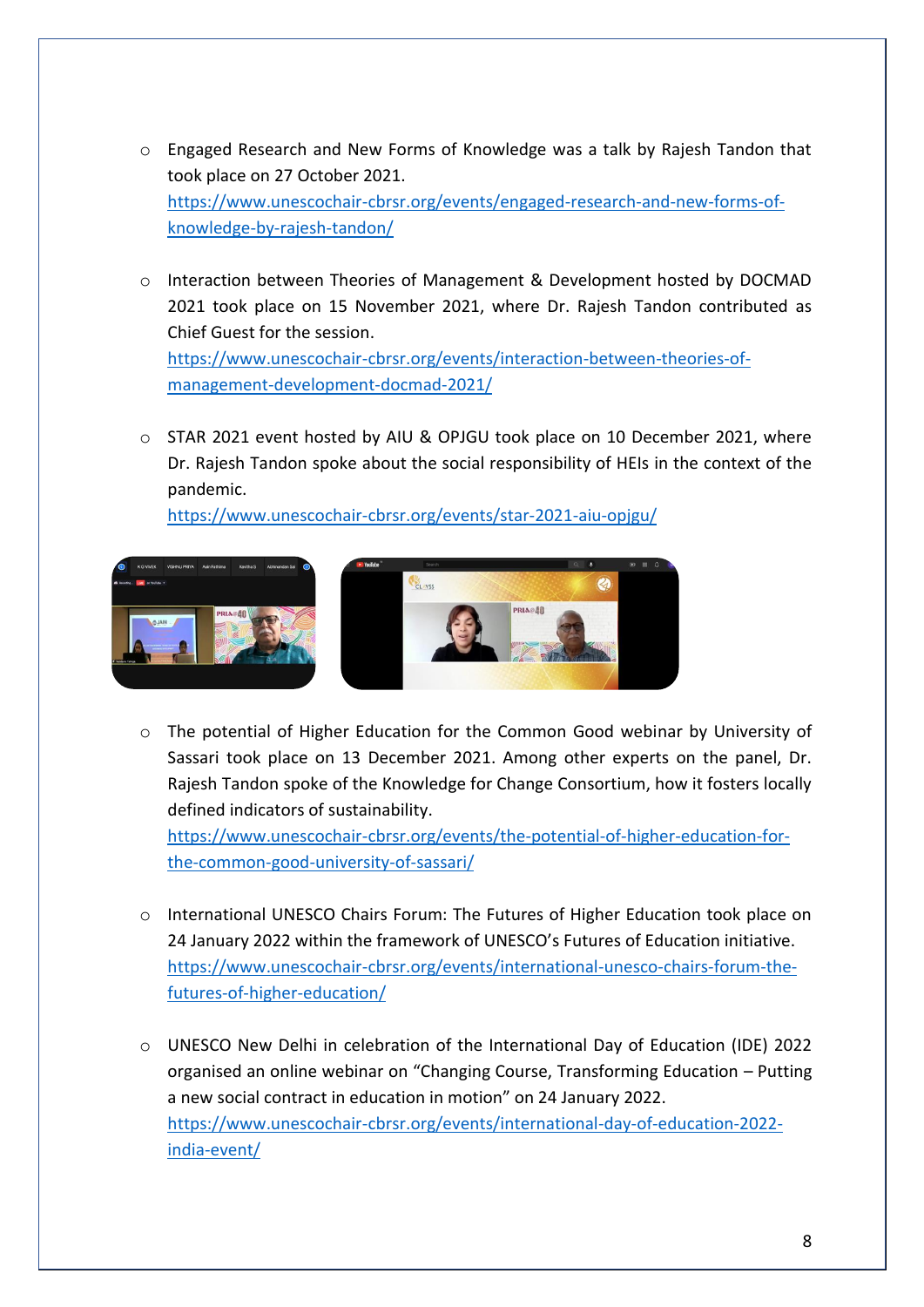- o Engaged Research and New Forms of Knowledge was a talk by Rajesh Tandon that took place on 27 October 2021. [https://www.unescochair-cbrsr.org/events/engaged-research-and-new-forms-of](https://www.unescochair-cbrsr.org/events/engaged-research-and-new-forms-of-knowledge-by-rajesh-tandon/)[knowledge-by-rajesh-tandon/](https://www.unescochair-cbrsr.org/events/engaged-research-and-new-forms-of-knowledge-by-rajesh-tandon/)
- o Interaction between Theories of Management & Development hosted by DOCMAD 2021 took place on 15 November 2021, where Dr. Rajesh Tandon contributed as Chief Guest for the session. [https://www.unescochair-cbrsr.org/events/interaction-between-theories-of](https://www.unescochair-cbrsr.org/events/interaction-between-theories-of-management-development-docmad-2021/)[management-development-docmad-2021/](https://www.unescochair-cbrsr.org/events/interaction-between-theories-of-management-development-docmad-2021/)
- o STAR 2021 event hosted by AIU & OPJGU took place on 10 December 2021, where Dr. Rajesh Tandon spoke about the social responsibility of HEIs in the context of the pandemic.

<https://www.unescochair-cbrsr.org/events/star-2021-aiu-opjgu/>



o The potential of Higher Education for the Common Good webinar by University of Sassari took place on 13 December 2021. Among other experts on the panel, Dr. Rajesh Tandon spoke of the Knowledge for Change Consortium, how it fosters locally defined indicators of sustainability.

[https://www.unescochair-cbrsr.org/events/the-potential-of-higher-education-for](https://www.unescochair-cbrsr.org/events/the-potential-of-higher-education-for-the-common-good-university-of-sassari/)[the-common-good-university-of-sassari/](https://www.unescochair-cbrsr.org/events/the-potential-of-higher-education-for-the-common-good-university-of-sassari/)

- o International UNESCO Chairs Forum: The Futures of Higher Education took place on 24 January 2022 within the framework of UNESCO's Futures of Education initiative. [https://www.unescochair-cbrsr.org/events/international-unesco-chairs-forum-the](https://www.unescochair-cbrsr.org/events/international-unesco-chairs-forum-the-futures-of-higher-education/)[futures-of-higher-education/](https://www.unescochair-cbrsr.org/events/international-unesco-chairs-forum-the-futures-of-higher-education/)
- o UNESCO New Delhi in celebration of the International Day of Education (IDE) 2022 organised an online webinar on "Changing Course, Transforming Education – Putting a new social contract in education in motion" on 24 January 2022. [https://www.unescochair-cbrsr.org/events/international-day-of-education-2022](https://www.unescochair-cbrsr.org/events/international-day-of-education-2022-india-event/) [india-event/](https://www.unescochair-cbrsr.org/events/international-day-of-education-2022-india-event/)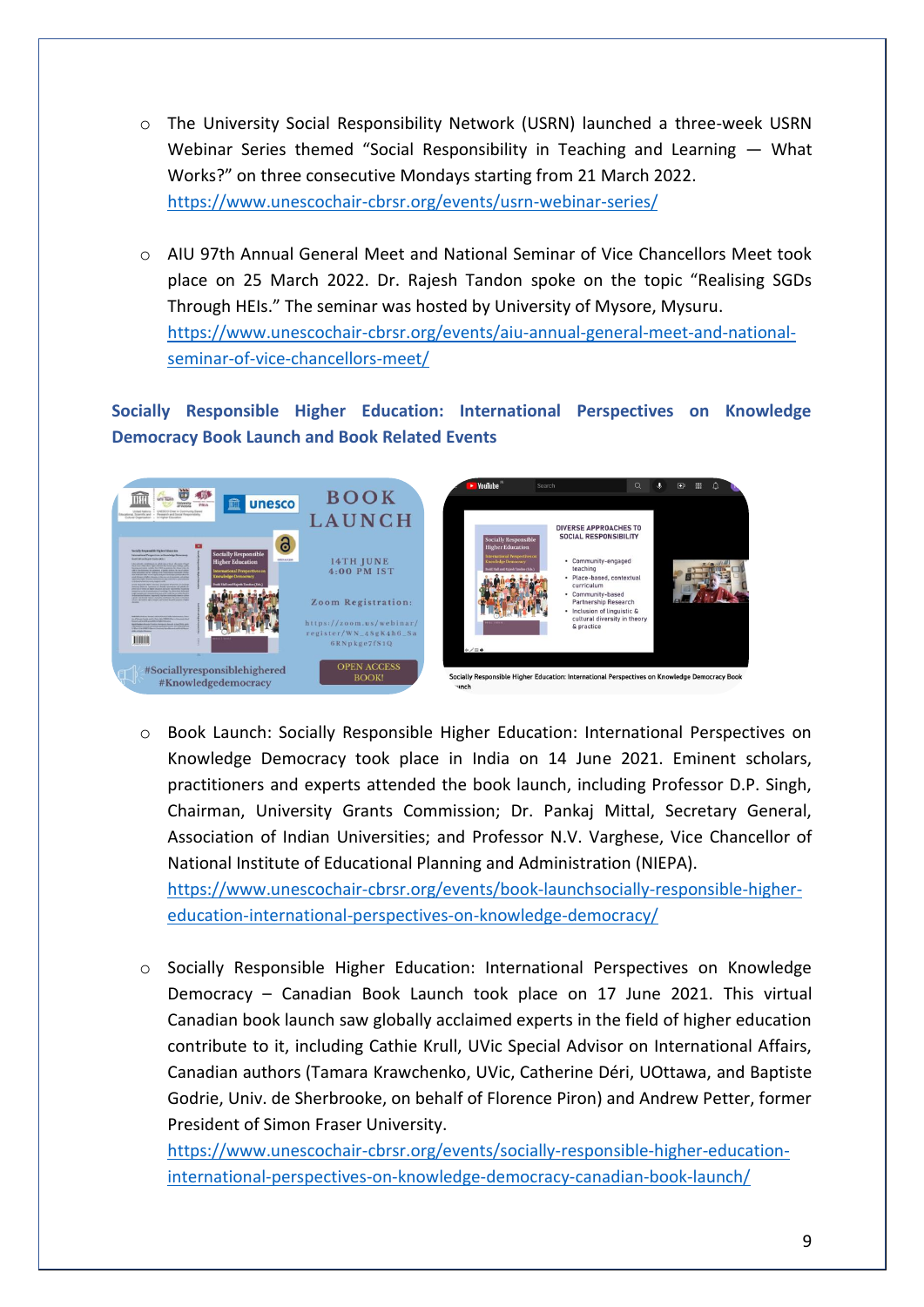- o The University Social Responsibility Network (USRN) launched a three-week USRN Webinar Series themed "Social Responsibility in Teaching and Learning — What Works?" on three consecutive Mondays starting from 21 March 2022. <https://www.unescochair-cbrsr.org/events/usrn-webinar-series/>
- o AIU 97th Annual General Meet and National Seminar of Vice Chancellors Meet took place on 25 March 2022. Dr. Rajesh Tandon spoke on the topic "Realising SGDs Through HEIs." The seminar was hosted by University of Mysore, Mysuru. [https://www.unescochair-cbrsr.org/events/aiu-annual-general-meet-and-national](https://www.unescochair-cbrsr.org/events/aiu-annual-general-meet-and-national-seminar-of-vice-chancellors-meet/)[seminar-of-vice-chancellors-meet/](https://www.unescochair-cbrsr.org/events/aiu-annual-general-meet-and-national-seminar-of-vice-chancellors-meet/)

**Socially Responsible Higher Education: International Perspectives on Knowledge Democracy Book Launch and Book Related Events**



[education-international-perspectives-on-knowledge-democracy/](https://www.unescochair-cbrsr.org/events/book-launchsocially-responsible-higher-education-international-perspectives-on-knowledge-democracy/)

o Book Launch: Socially Responsible Higher Education: International Perspectives on Knowledge Democracy took place in India on 14 June 2021. Eminent scholars, practitioners and experts attended the book launch, including Professor D.P. Singh, Chairman, University Grants Commission; Dr. Pankaj Mittal, Secretary General, Association of Indian Universities; and Professor N.V. Varghese, Vice Chancellor of National Institute of Educational Planning and Administration (NIEPA). [https://www.unescochair-cbrsr.org/events/book-launchsocially-responsible-higher-](https://www.unescochair-cbrsr.org/events/book-launchsocially-responsible-higher-education-international-perspectives-on-knowledge-democracy/)

o Socially Responsible Higher Education: International Perspectives on Knowledge Democracy – Canadian Book Launch took place on 17 June 2021. This virtual Canadian book launch saw globally acclaimed experts in the field of higher education contribute to it, including Cathie Krull, UVic Special Advisor on International Affairs, Canadian authors (Tamara Krawchenko, UVic, Catherine Déri, UOttawa, and Baptiste Godrie, Univ. de Sherbrooke, on behalf of Florence Piron) and Andrew Petter, former President of Simon Fraser University.

[https://www.unescochair-cbrsr.org/events/socially-responsible-higher-education](https://www.unescochair-cbrsr.org/events/socially-responsible-higher-education-international-perspectives-on-knowledge-democracy-canadian-book-launch/)[international-perspectives-on-knowledge-democracy-canadian-book-launch/](https://www.unescochair-cbrsr.org/events/socially-responsible-higher-education-international-perspectives-on-knowledge-democracy-canadian-book-launch/)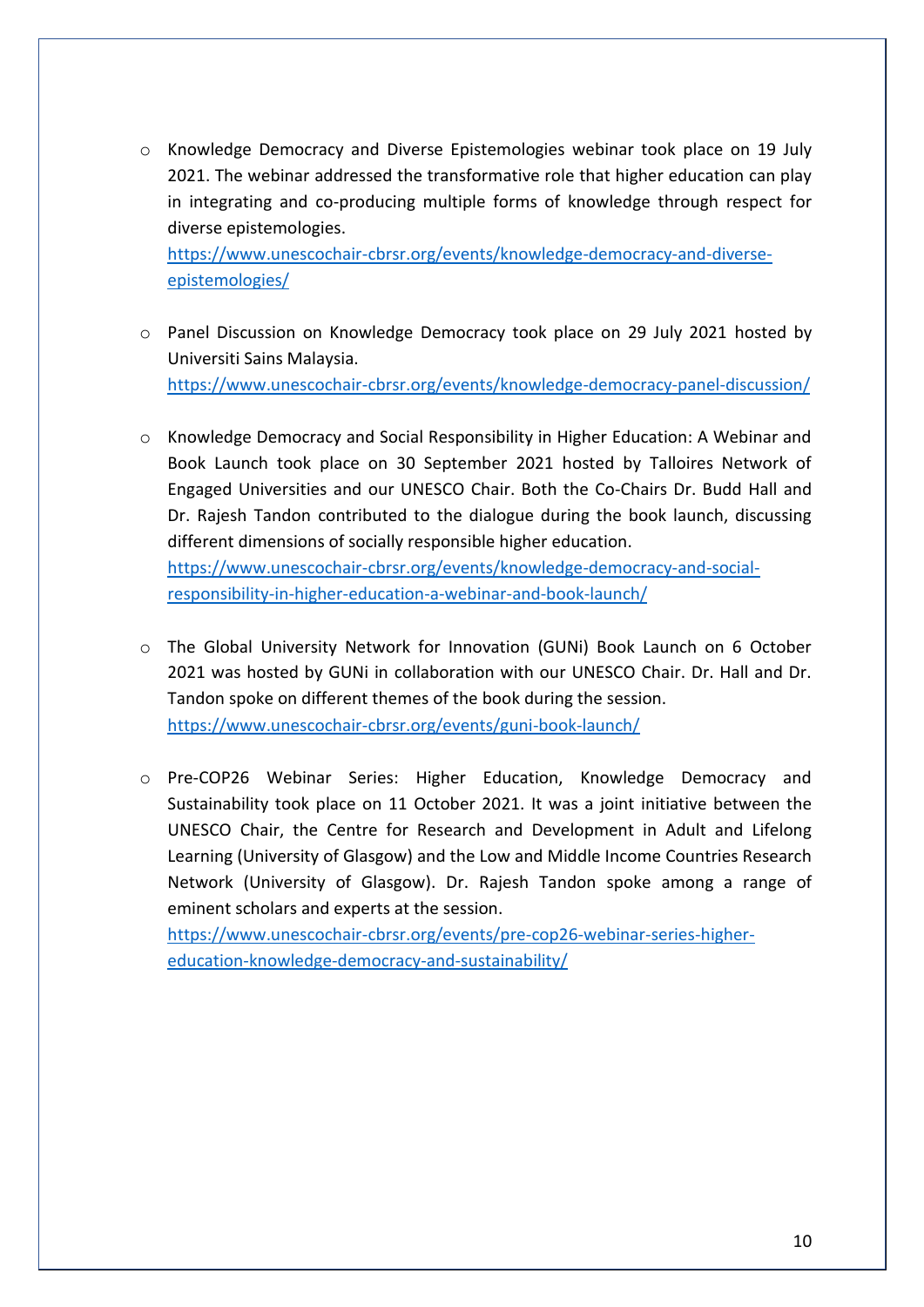o Knowledge Democracy and Diverse Epistemologies webinar took place on 19 July 2021. The webinar addressed the transformative role that higher education can play in integrating and co-producing multiple forms of knowledge through respect for diverse epistemologies.

[https://www.unescochair-cbrsr.org/events/knowledge-democracy-and-diverse](https://www.unescochair-cbrsr.org/events/knowledge-democracy-and-diverse-epistemologies/)[epistemologies/](https://www.unescochair-cbrsr.org/events/knowledge-democracy-and-diverse-epistemologies/)

- o Panel Discussion on Knowledge Democracy took place on 29 July 2021 hosted by Universiti Sains Malaysia. <https://www.unescochair-cbrsr.org/events/knowledge-democracy-panel-discussion/>
- o Knowledge Democracy and Social Responsibility in Higher Education: A Webinar and Book Launch took place on 30 September 2021 hosted by Talloires Network of Engaged Universities and our UNESCO Chair. Both the Co-Chairs Dr. Budd Hall and Dr. Rajesh Tandon contributed to the dialogue during the book launch, discussing different dimensions of socially responsible higher education. [https://www.unescochair-cbrsr.org/events/knowledge-democracy-and-social-](https://www.unescochair-cbrsr.org/events/knowledge-democracy-and-social-responsibility-in-higher-education-a-webinar-and-book-launch/)

[responsibility-in-higher-education-a-webinar-and-book-launch/](https://www.unescochair-cbrsr.org/events/knowledge-democracy-and-social-responsibility-in-higher-education-a-webinar-and-book-launch/)

- o The Global University Network for Innovation (GUNi) Book Launch on 6 October 2021 was hosted by GUNi in collaboration with our UNESCO Chair. Dr. Hall and Dr. Tandon spoke on different themes of the book during the session. <https://www.unescochair-cbrsr.org/events/guni-book-launch/>
- o Pre-COP26 Webinar Series: Higher Education, Knowledge Democracy and Sustainability took place on 11 October 2021. It was a joint initiative between the UNESCO Chair, the Centre for Research and Development in Adult and Lifelong Learning (University of Glasgow) and the Low and Middle Income Countries Research Network (University of Glasgow). Dr. Rajesh Tandon spoke among a range of eminent scholars and experts at the session.

[https://www.unescochair-cbrsr.org/events/pre-cop26-webinar-series-higher](https://www.unescochair-cbrsr.org/events/pre-cop26-webinar-series-higher-education-knowledge-democracy-and-sustainability/)[education-knowledge-democracy-and-sustainability/](https://www.unescochair-cbrsr.org/events/pre-cop26-webinar-series-higher-education-knowledge-democracy-and-sustainability/)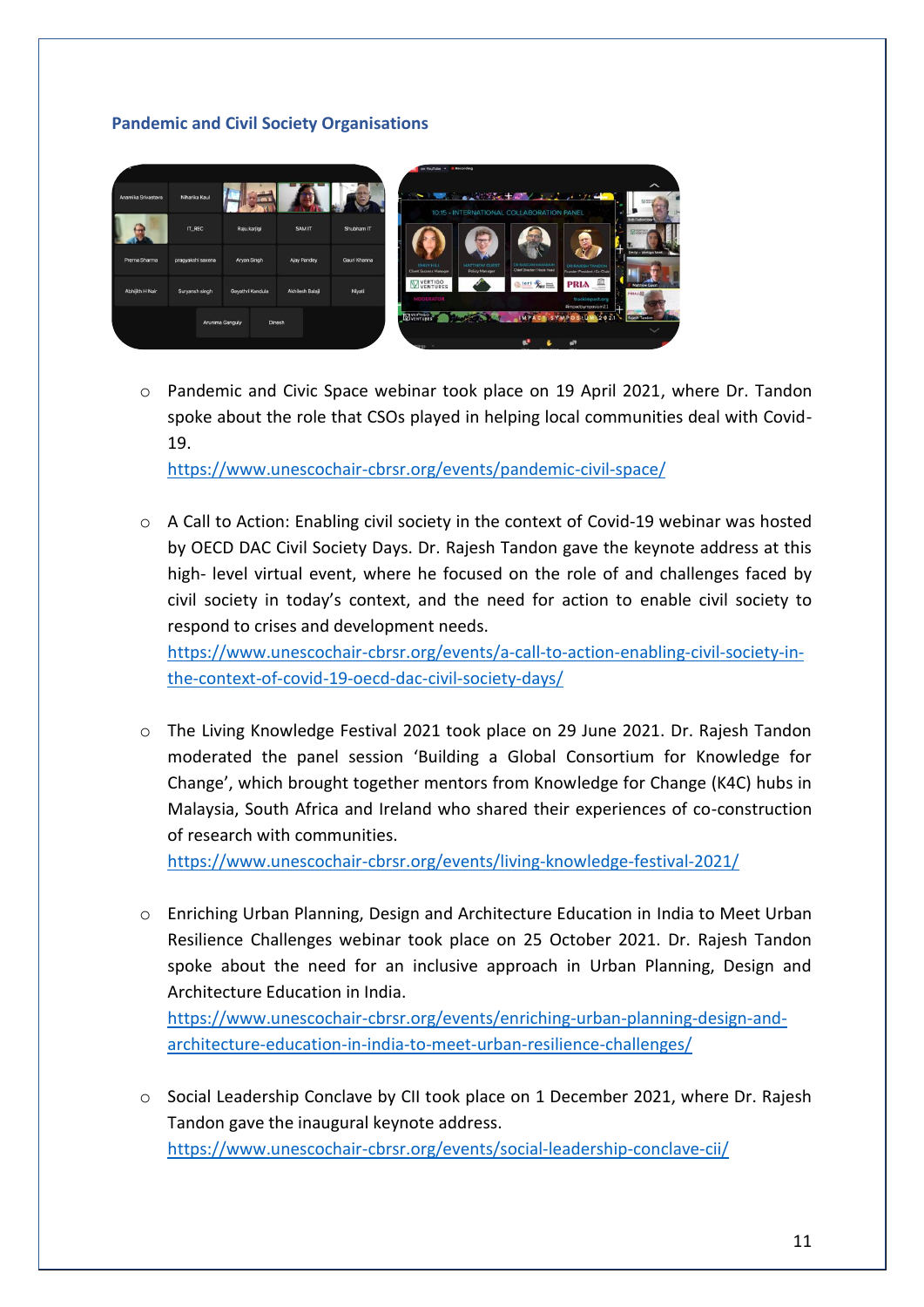# **Pandemic and Civil Society Organisations**



o Pandemic and Civic Space webinar took place on 19 April 2021, where Dr. Tandon spoke about the role that CSOs played in helping local communities deal with Covid-19.

<https://www.unescochair-cbrsr.org/events/pandemic-civil-space/>

 $\circ$  A Call to Action: Enabling civil society in the context of Covid-19 webinar was hosted by OECD DAC Civil Society Days. Dr. Rajesh Tandon gave the keynote address at this high- level virtual event, where he focused on the role of and challenges faced by civil society in today's context, and the need for action to enable civil society to respond to crises and development needs.

[https://www.unescochair-cbrsr.org/events/a-call-to-action-enabling-civil-society-in](https://www.unescochair-cbrsr.org/events/a-call-to-action-enabling-civil-society-in-the-context-of-covid-19-oecd-dac-civil-society-days/)[the-context-of-covid-19-oecd-dac-civil-society-days/](https://www.unescochair-cbrsr.org/events/a-call-to-action-enabling-civil-society-in-the-context-of-covid-19-oecd-dac-civil-society-days/)

o The Living Knowledge Festival 2021 took place on 29 June 2021. Dr. Rajesh Tandon moderated the panel session 'Building a Global Consortium for Knowledge for Change', which brought together mentors from Knowledge for Change (K4C) hubs in Malaysia, South Africa and Ireland who shared their experiences of co-construction of research with communities.

<https://www.unescochair-cbrsr.org/events/living-knowledge-festival-2021/>

o Enriching Urban Planning, Design and Architecture Education in India to Meet Urban Resilience Challenges webinar took place on 25 October 2021. Dr. Rajesh Tandon spoke about the need for an inclusive approach in Urban Planning, Design and Architecture Education in India.

[https://www.unescochair-cbrsr.org/events/enriching-urban-planning-design-and](https://www.unescochair-cbrsr.org/events/enriching-urban-planning-design-and-architecture-education-in-india-to-meet-urban-resilience-challenges/)[architecture-education-in-india-to-meet-urban-resilience-challenges/](https://www.unescochair-cbrsr.org/events/enriching-urban-planning-design-and-architecture-education-in-india-to-meet-urban-resilience-challenges/)

o Social Leadership Conclave by CII took place on 1 December 2021, where Dr. Rajesh Tandon gave the inaugural keynote address. <https://www.unescochair-cbrsr.org/events/social-leadership-conclave-cii/>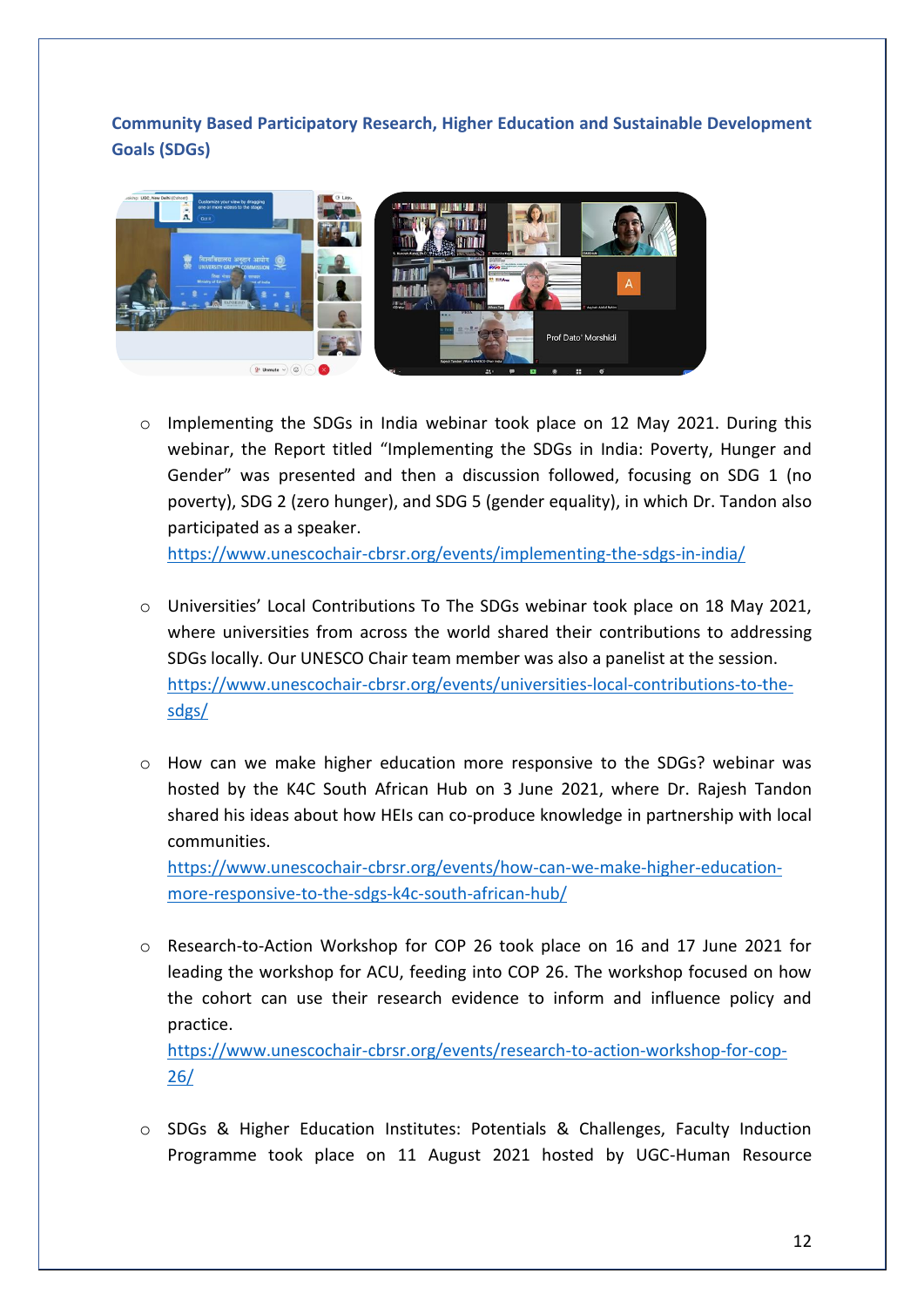**Community Based Participatory Research, Higher Education and Sustainable Development Goals (SDGs)**



o Implementing the SDGs in India webinar took place on 12 May 2021. During this webinar, the Report titled "Implementing the SDGs in India: Poverty, Hunger and Gender" was presented and then a discussion followed, focusing on SDG 1 (no poverty), SDG 2 (zero hunger), and SDG 5 (gender equality), in which Dr. Tandon also participated as a speaker.

<https://www.unescochair-cbrsr.org/events/implementing-the-sdgs-in-india/>

- o Universities' Local Contributions To The SDGs webinar took place on 18 May 2021, where universities from across the world shared their contributions to addressing SDGs locally. Our UNESCO Chair team member was also a panelist at the session. [https://www.unescochair-cbrsr.org/events/universities-local-contributions-to-the](https://www.unescochair-cbrsr.org/events/universities-local-contributions-to-the-sdgs/)[sdgs/](https://www.unescochair-cbrsr.org/events/universities-local-contributions-to-the-sdgs/)
- o How can we make higher education more responsive to the SDGs? webinar was hosted by the K4C South African Hub on 3 June 2021, where Dr. Rajesh Tandon shared his ideas about how HEIs can co-produce knowledge in partnership with local communities.

[https://www.unescochair-cbrsr.org/events/how-can-we-make-higher-education](https://www.unescochair-cbrsr.org/events/how-can-we-make-higher-education-more-responsive-to-the-sdgs-k4c-south-african-hub/)[more-responsive-to-the-sdgs-k4c-south-african-hub/](https://www.unescochair-cbrsr.org/events/how-can-we-make-higher-education-more-responsive-to-the-sdgs-k4c-south-african-hub/)

o Research-to-Action Workshop for COP 26 took place on 16 and 17 June 2021 for leading the workshop for ACU, feeding into COP 26. The workshop focused on how the cohort can use their research evidence to inform and influence policy and practice.

[https://www.unescochair-cbrsr.org/events/research-to-action-workshop-for-cop-](https://www.unescochair-cbrsr.org/events/research-to-action-workshop-for-cop-26/)[26/](https://www.unescochair-cbrsr.org/events/research-to-action-workshop-for-cop-26/)

o SDGs & Higher Education Institutes: Potentials & Challenges, Faculty Induction Programme took place on 11 August 2021 hosted by UGC-Human Resource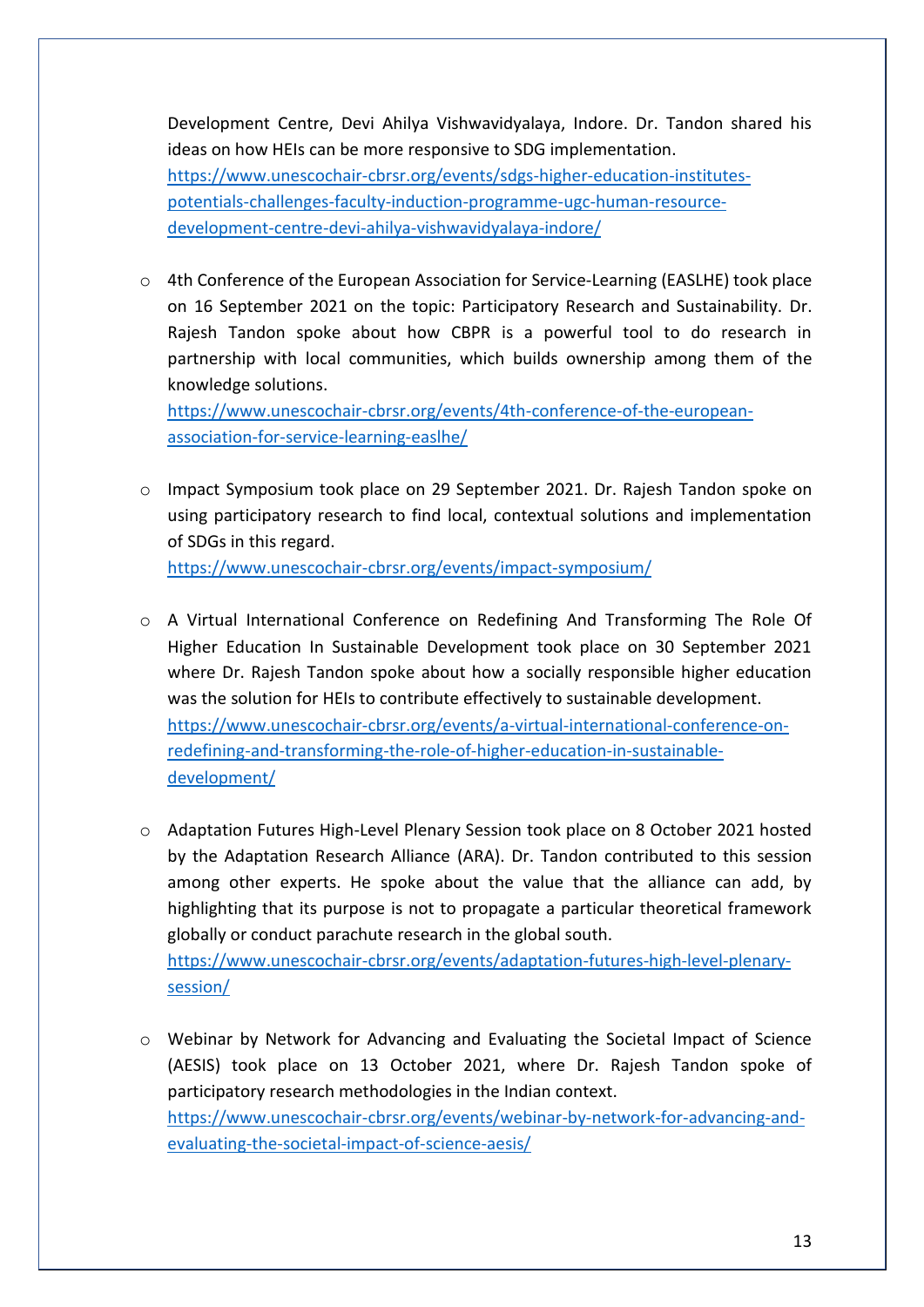Development Centre, Devi Ahilya Vishwavidyalaya, Indore. Dr. Tandon shared his ideas on how HEIs can be more responsive to SDG implementation. [https://www.unescochair-cbrsr.org/events/sdgs-higher-education-institutes](https://www.unescochair-cbrsr.org/events/sdgs-higher-education-institutes-potentials-challenges-faculty-induction-programme-ugc-human-resource-development-centre-devi-ahilya-vishwavidyalaya-indore/)[potentials-challenges-faculty-induction-programme-ugc-human-resource](https://www.unescochair-cbrsr.org/events/sdgs-higher-education-institutes-potentials-challenges-faculty-induction-programme-ugc-human-resource-development-centre-devi-ahilya-vishwavidyalaya-indore/)[development-centre-devi-ahilya-vishwavidyalaya-indore/](https://www.unescochair-cbrsr.org/events/sdgs-higher-education-institutes-potentials-challenges-faculty-induction-programme-ugc-human-resource-development-centre-devi-ahilya-vishwavidyalaya-indore/)

 $\circ$  4th Conference of the European Association for Service-Learning (EASLHE) took place on 16 September 2021 on the topic: Participatory Research and Sustainability. Dr. Rajesh Tandon spoke about how CBPR is a powerful tool to do research in partnership with local communities, which builds ownership among them of the knowledge solutions.

[https://www.unescochair-cbrsr.org/events/4th-conference-of-the-european](https://www.unescochair-cbrsr.org/events/4th-conference-of-the-european-association-for-service-learning-easlhe/)[association-for-service-learning-easlhe/](https://www.unescochair-cbrsr.org/events/4th-conference-of-the-european-association-for-service-learning-easlhe/)

- o Impact Symposium took place on 29 September 2021. Dr. Rajesh Tandon spoke on using participatory research to find local, contextual solutions and implementation of SDGs in this regard. <https://www.unescochair-cbrsr.org/events/impact-symposium/>
- o A Virtual International Conference on Redefining And Transforming The Role Of Higher Education In Sustainable Development took place on 30 September 2021 where Dr. Rajesh Tandon spoke about how a socially responsible higher education was the solution for HEIs to contribute effectively to sustainable development. [https://www.unescochair-cbrsr.org/events/a-virtual-international-conference-on](https://www.unescochair-cbrsr.org/events/a-virtual-international-conference-on-redefining-and-transforming-the-role-of-higher-education-in-sustainable-development/)[redefining-and-transforming-the-role-of-higher-education-in-sustainable](https://www.unescochair-cbrsr.org/events/a-virtual-international-conference-on-redefining-and-transforming-the-role-of-higher-education-in-sustainable-development/)[development/](https://www.unescochair-cbrsr.org/events/a-virtual-international-conference-on-redefining-and-transforming-the-role-of-higher-education-in-sustainable-development/)
- o Adaptation Futures High-Level Plenary Session took place on 8 October 2021 hosted by the Adaptation Research Alliance (ARA). Dr. Tandon contributed to this session among other experts. He spoke about the value that the alliance can add, by highlighting that its purpose is not to propagate a particular theoretical framework globally or conduct parachute research in the global south. [https://www.unescochair-cbrsr.org/events/adaptation-futures-high-level-plenary](https://www.unescochair-cbrsr.org/events/adaptation-futures-high-level-plenary-session/)[session/](https://www.unescochair-cbrsr.org/events/adaptation-futures-high-level-plenary-session/)
- o Webinar by Network for Advancing and Evaluating the Societal Impact of Science (AESIS) took place on 13 October 2021, where Dr. Rajesh Tandon spoke of participatory research methodologies in the Indian context. [https://www.unescochair-cbrsr.org/events/webinar-by-network-for-advancing-and](https://www.unescochair-cbrsr.org/events/webinar-by-network-for-advancing-and-evaluating-the-societal-impact-of-science-aesis/)[evaluating-the-societal-impact-of-science-aesis/](https://www.unescochair-cbrsr.org/events/webinar-by-network-for-advancing-and-evaluating-the-societal-impact-of-science-aesis/)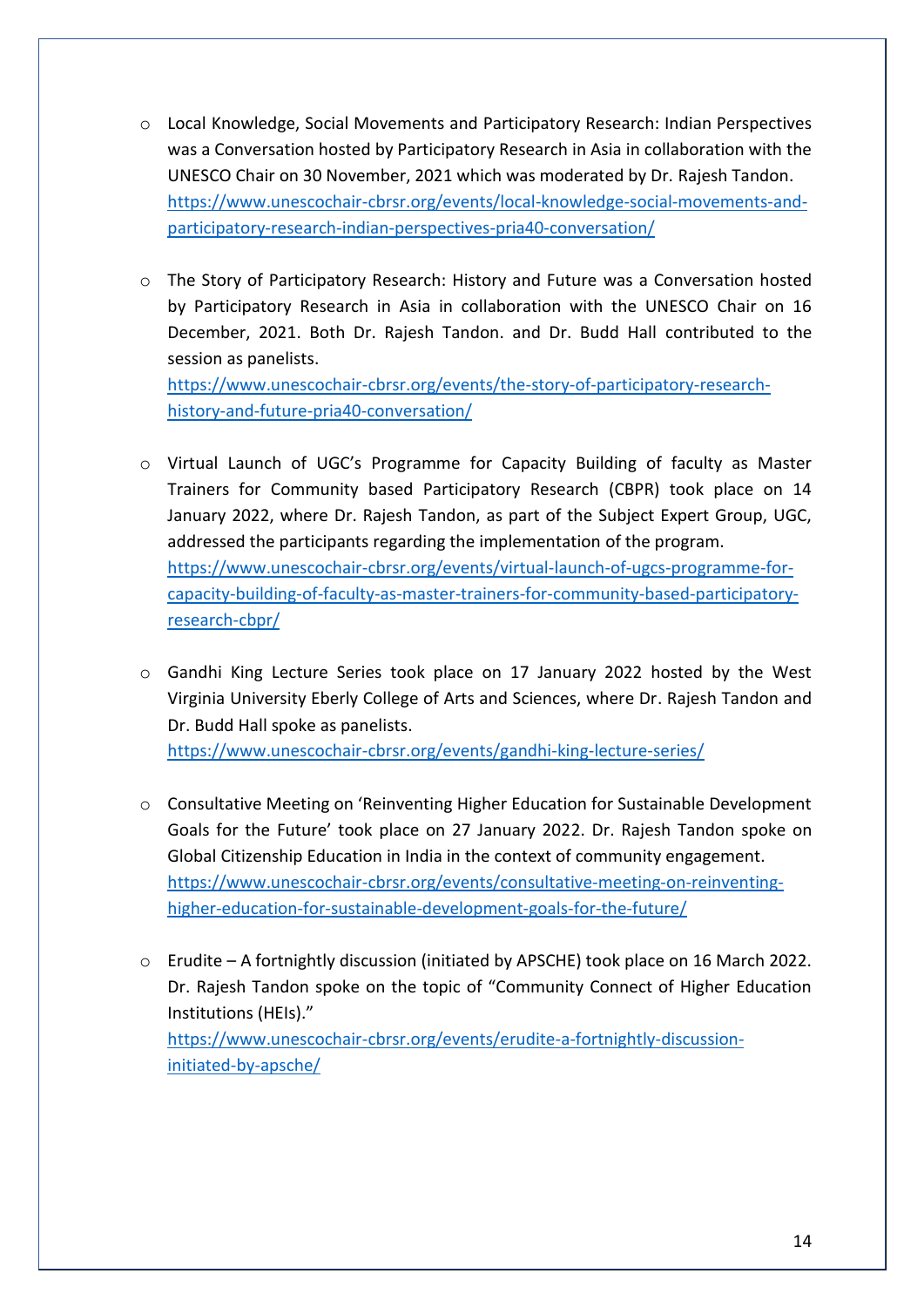- o Local Knowledge, Social Movements and Participatory Research: Indian Perspectives was a Conversation hosted by Participatory Research in Asia in collaboration with the UNESCO Chair on 30 November, 2021 which was moderated by Dr. Rajesh Tandon. [https://www.unescochair-cbrsr.org/events/local-knowledge-social-movements-and](https://www.unescochair-cbrsr.org/events/local-knowledge-social-movements-and-participatory-research-indian-perspectives-pria40-conversation/)[participatory-research-indian-perspectives-pria40-conversation/](https://www.unescochair-cbrsr.org/events/local-knowledge-social-movements-and-participatory-research-indian-perspectives-pria40-conversation/)
- o The Story of Participatory Research: History and Future was a Conversation hosted by Participatory Research in Asia in collaboration with the UNESCO Chair on 16 December, 2021. Both Dr. Rajesh Tandon. and Dr. Budd Hall contributed to the session as panelists.

[https://www.unescochair-cbrsr.org/events/the-story-of-participatory-research](https://www.unescochair-cbrsr.org/events/the-story-of-participatory-research-history-and-future-pria40-conversation/)[history-and-future-pria40-conversation/](https://www.unescochair-cbrsr.org/events/the-story-of-participatory-research-history-and-future-pria40-conversation/)

- o Virtual Launch of UGC's Programme for Capacity Building of faculty as Master Trainers for Community based Participatory Research (CBPR) took place on 14 January 2022, where Dr. Rajesh Tandon, as part of the Subject Expert Group, UGC, addressed the participants regarding the implementation of the program. [https://www.unescochair-cbrsr.org/events/virtual-launch-of-ugcs-programme-for](https://www.unescochair-cbrsr.org/events/virtual-launch-of-ugcs-programme-for-capacity-building-of-faculty-as-master-trainers-for-community-based-participatory-research-cbpr/)[capacity-building-of-faculty-as-master-trainers-for-community-based-participatory](https://www.unescochair-cbrsr.org/events/virtual-launch-of-ugcs-programme-for-capacity-building-of-faculty-as-master-trainers-for-community-based-participatory-research-cbpr/)[research-cbpr/](https://www.unescochair-cbrsr.org/events/virtual-launch-of-ugcs-programme-for-capacity-building-of-faculty-as-master-trainers-for-community-based-participatory-research-cbpr/)
- o Gandhi King Lecture Series took place on 17 January 2022 hosted by the West Virginia University Eberly College of Arts and Sciences, where Dr. Rajesh Tandon and Dr. Budd Hall spoke as panelists.

<https://www.unescochair-cbrsr.org/events/gandhi-king-lecture-series/>

- o Consultative Meeting on 'Reinventing Higher Education for Sustainable Development Goals for the Future' took place on 27 January 2022. Dr. Rajesh Tandon spoke on Global Citizenship Education in India in the context of community engagement. [https://www.unescochair-cbrsr.org/events/consultative-meeting-on-reinventing](https://www.unescochair-cbrsr.org/events/consultative-meeting-on-reinventing-higher-education-for-sustainable-development-goals-for-the-future/)[higher-education-for-sustainable-development-goals-for-the-future/](https://www.unescochair-cbrsr.org/events/consultative-meeting-on-reinventing-higher-education-for-sustainable-development-goals-for-the-future/)
- o Erudite A fortnightly discussion (initiated by APSCHE) took place on 16 March 2022. Dr. Rajesh Tandon spoke on the topic of "Community Connect of Higher Education Institutions (HEIs)." [https://www.unescochair-cbrsr.org/events/erudite-a-fortnightly-discussion](https://www.unescochair-cbrsr.org/events/erudite-a-fortnightly-discussion-initiated-by-apsche/)[initiated-by-apsche/](https://www.unescochair-cbrsr.org/events/erudite-a-fortnightly-discussion-initiated-by-apsche/)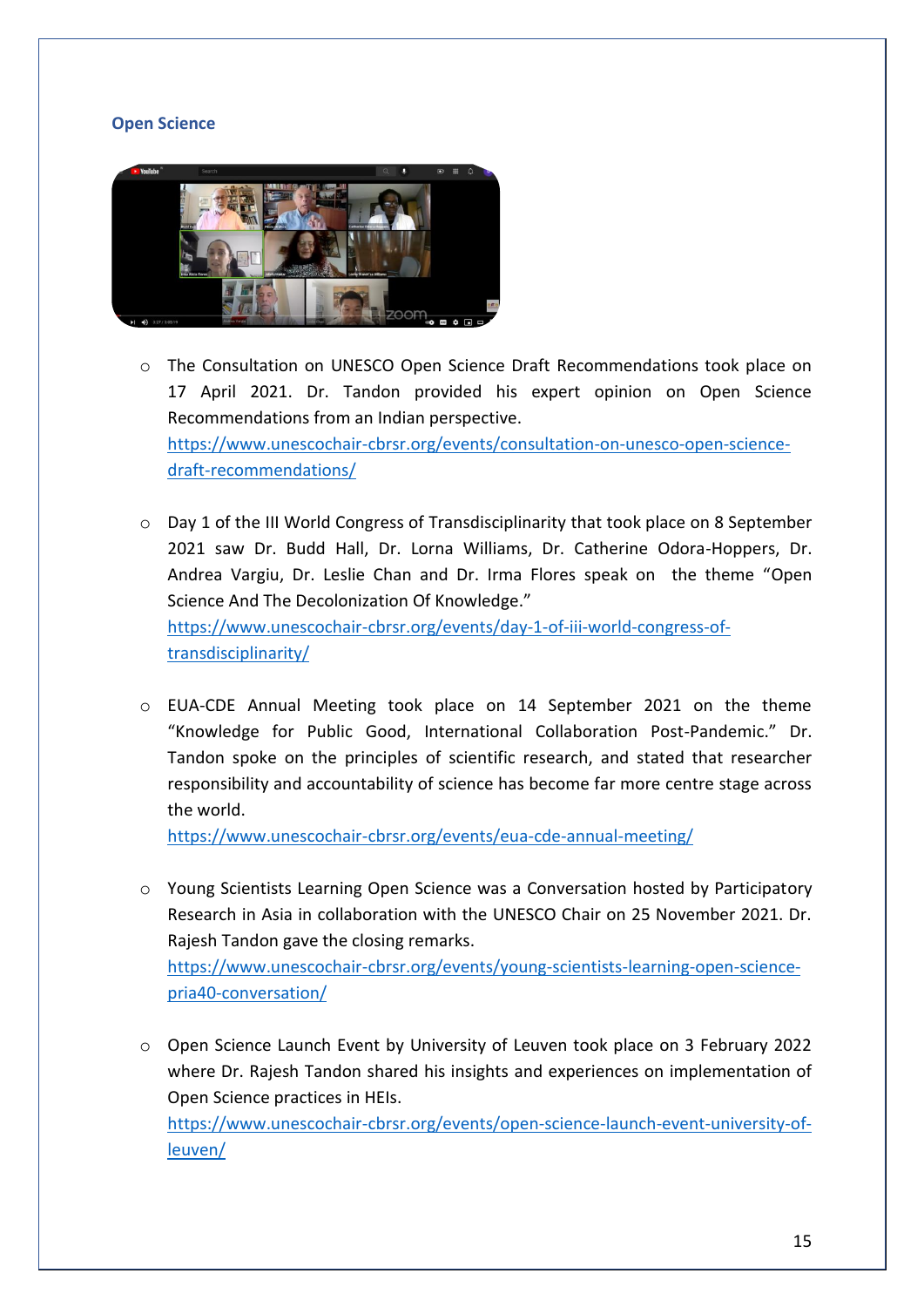# **Open Science**



- o The Consultation on UNESCO Open Science Draft Recommendations took place on 17 April 2021. Dr. Tandon provided his expert opinion on Open Science Recommendations from an Indian perspective. [https://www.unescochair-cbrsr.org/events/consultation-on-unesco-open-science](https://www.unescochair-cbrsr.org/events/consultation-on-unesco-open-science-draft-recommendations/)[draft-recommendations/](https://www.unescochair-cbrsr.org/events/consultation-on-unesco-open-science-draft-recommendations/)
- $\circ$  Day 1 of the III World Congress of Transdisciplinarity that took place on 8 September 2021 saw Dr. Budd Hall, Dr. Lorna Williams, Dr. Catherine Odora-Hoppers, Dr. Andrea Vargiu, Dr. Leslie Chan and Dr. Irma Flores speak on the theme "Open Science And The Decolonization Of Knowledge." [https://www.unescochair-cbrsr.org/events/day-1-of-iii-world-congress-of](https://www.unescochair-cbrsr.org/events/day-1-of-iii-world-congress-of-transdisciplinarity/)[transdisciplinarity/](https://www.unescochair-cbrsr.org/events/day-1-of-iii-world-congress-of-transdisciplinarity/)
- $\circ$  EUA-CDE Annual Meeting took place on 14 September 2021 on the theme "Knowledge for Public Good, International Collaboration Post-Pandemic." Dr. Tandon spoke on the principles of scientific research, and stated that researcher responsibility and accountability of science has become far more centre stage across the world.

<https://www.unescochair-cbrsr.org/events/eua-cde-annual-meeting/>

o Young Scientists Learning Open Science was a Conversation hosted by Participatory Research in Asia in collaboration with the UNESCO Chair on 25 November 2021. Dr. Rajesh Tandon gave the closing remarks.

[https://www.unescochair-cbrsr.org/events/young-scientists-learning-open-science](https://www.unescochair-cbrsr.org/events/young-scientists-learning-open-science-pria40-conversation/)[pria40-conversation/](https://www.unescochair-cbrsr.org/events/young-scientists-learning-open-science-pria40-conversation/)

o Open Science Launch Event by University of Leuven took place on 3 February 2022 where Dr. Rajesh Tandon shared his insights and experiences on implementation of Open Science practices in HEIs.

[https://www.unescochair-cbrsr.org/events/open-science-launch-event-university-of](https://www.unescochair-cbrsr.org/events/open-science-launch-event-university-of-leuven/)[leuven/](https://www.unescochair-cbrsr.org/events/open-science-launch-event-university-of-leuven/)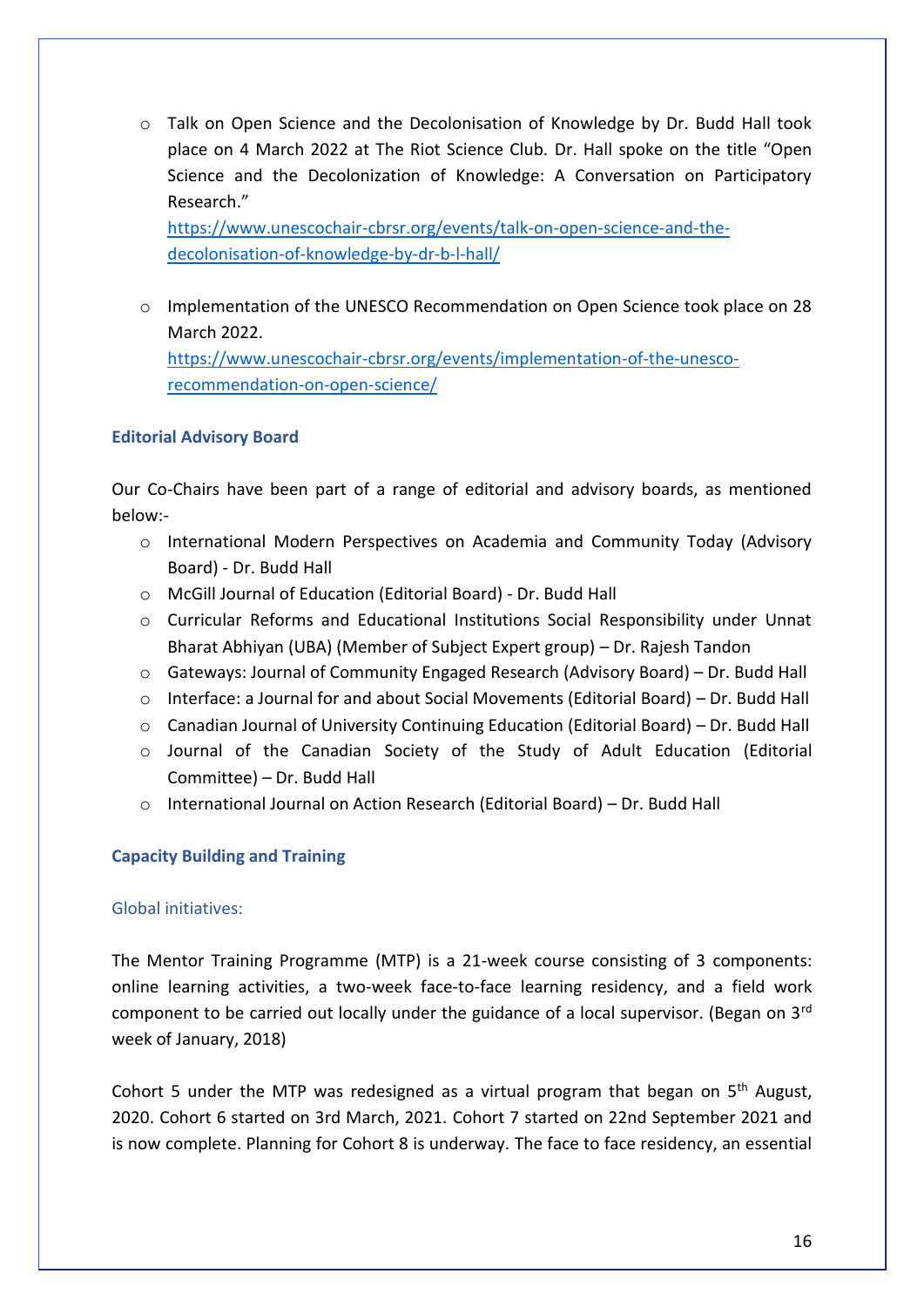o Talk on Open Science and the Decolonisation of Knowledge by Dr. Budd Hall took place on 4 March 2022 at The Riot Science Club. Dr. Hall spoke on the title "Open Science and the Decolonization of Knowledge: A Conversation on Participatory Research."

[https://www.unescochair-cbrsr.org/events/talk-on-open-science-and-the](https://www.unescochair-cbrsr.org/events/talk-on-open-science-and-the-decolonisation-of-knowledge-by-dr-b-l-hall/)[decolonisation-of-knowledge-by-dr-b-l-hall/](https://www.unescochair-cbrsr.org/events/talk-on-open-science-and-the-decolonisation-of-knowledge-by-dr-b-l-hall/)

o Implementation of the UNESCO Recommendation on Open Science took place on 28 March 2022. [https://www.unescochair-cbrsr.org/events/implementation-of-the-unesco](https://www.unescochair-cbrsr.org/events/implementation-of-the-unesco-recommendation-on-open-science/)[recommendation-on-open-science/](https://www.unescochair-cbrsr.org/events/implementation-of-the-unesco-recommendation-on-open-science/)

# **Editorial Advisory Board**

Our Co-Chairs have been part of a range of editorial and advisory boards, as mentioned below:-

- o International Modern Perspectives on Academia and Community Today (Advisory Board) - Dr. Budd Hall
- o McGill Journal of Education (Editorial Board) Dr. Budd Hall
- $\circ$  Curricular Reforms and Educational Institutions Social Responsibility under Unnat Bharat Abhiyan (UBA) (Member of Subject Expert group) – Dr. Rajesh Tandon
- $\circ$  Gateways: Journal of Community Engaged Research (Advisory Board) Dr. Budd Hall
- $\circ$  Interface: a Journal for and about Social Movements (Editorial Board) Dr. Budd Hall
- o Canadian Journal of University Continuing Education (Editorial Board) Dr. Budd Hall
- o Journal of the Canadian Society of the Study of Adult Education (Editorial Committee) – Dr. Budd Hall
- o International Journal on Action Research (Editorial Board) Dr. Budd Hall

# **Capacity Building and Training**

# Global initiatives:

The Mentor Training Programme (MTP) is a 21-week course consisting of 3 components: online learning activities, a two-week face-to-face learning residency, and a field work component to be carried out locally under the guidance of a local supervisor. (Began on 3<sup>rd</sup> week of January, 2018)

Cohort 5 under the MTP was redesigned as a virtual program that began on  $5<sup>th</sup>$  August, 2020. Cohort 6 started on 3rd March, 2021. Cohort 7 started on 22nd September 2021 and is now complete. Planning for Cohort 8 is underway. The face to face residency, an essential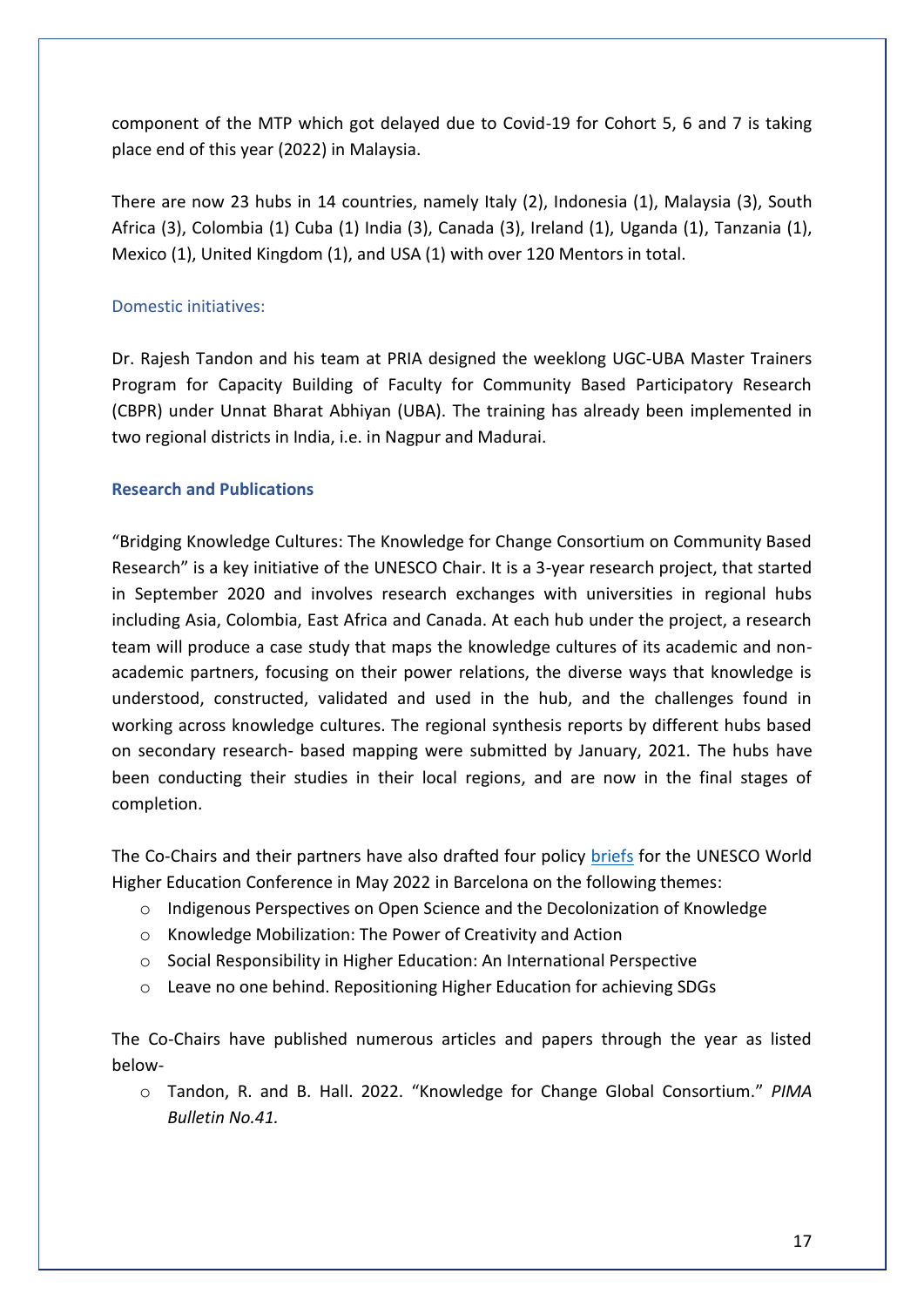component of the MTP which got delayed due to Covid-19 for Cohort 5, 6 and 7 is taking place end of this year (2022) in Malaysia.

There are now 23 hubs in 14 countries, namely Italy (2), Indonesia (1), Malaysia (3), South Africa (3), Colombia (1) Cuba (1) India (3), Canada (3), Ireland (1), Uganda (1), Tanzania (1), Mexico (1), United Kingdom (1), and USA (1) with over 120 Mentors in total.

# Domestic initiatives:

Dr. Rajesh Tandon and his team at PRIA designed the weeklong UGC-UBA Master Trainers Program for Capacity Building of Faculty for Community Based Participatory Research (CBPR) under Unnat Bharat Abhiyan (UBA). The training has already been implemented in two regional districts in India, i.e. in Nagpur and Madurai.

# **Research and Publications**

"Bridging Knowledge Cultures: The Knowledge for Change Consortium on Community Based Research" is a key initiative of the UNESCO Chair. It is a 3-year research project, that started in September 2020 and involves research exchanges with universities in regional hubs including Asia, Colombia, East Africa and Canada. At each hub under the project, a research team will produce a case study that maps the knowledge cultures of its academic and nonacademic partners, focusing on their power relations, the diverse ways that knowledge is understood, constructed, validated and used in the hub, and the challenges found in working across knowledge cultures. The regional synthesis reports by different hubs based on secondary research- based mapping were submitted by January, 2021. The hubs have been conducting their studies in their local regions, and are now in the final stages of completion.

The Co-Chairs and their partners have also drafted four policy [briefs](https://www.unescochair-cbrsr.org/policy-briefs-and-event-notes-for-whec-2022/) for the UNESCO World Higher Education Conference in May 2022 in Barcelona on the following themes:

- o Indigenous Perspectives on Open Science and the Decolonization of Knowledge
- o Knowledge Mobilization: The Power of Creativity and Action
- o Social Responsibility in Higher Education: An International Perspective
- o Leave no one behind. Repositioning Higher Education for achieving SDGs

The Co-Chairs have published numerous articles and papers through the year as listed below-

o Tandon, R. and B. Hall. 2022. "Knowledge for Change Global Consortium." *PIMA Bulletin No.41.*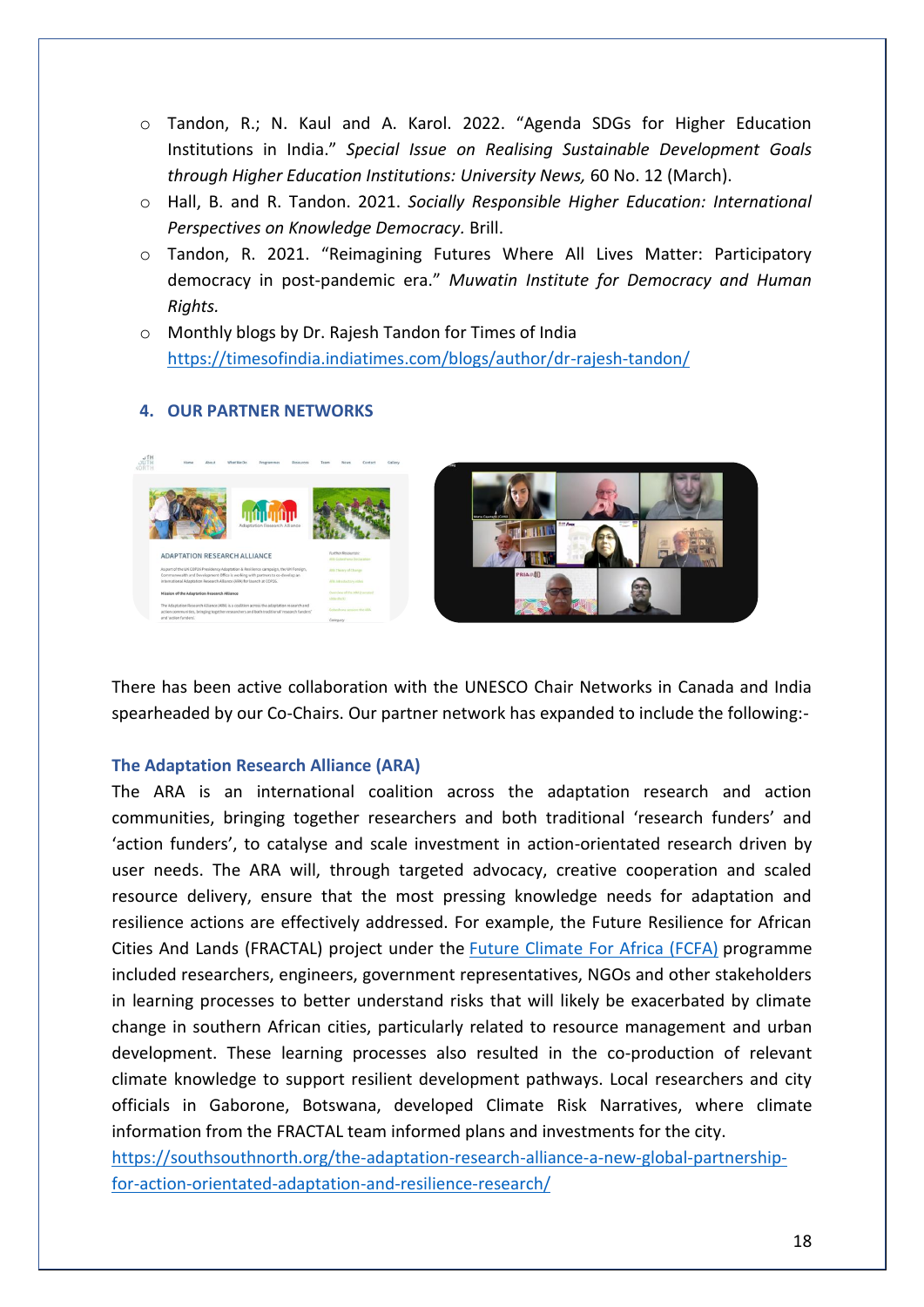- o Tandon, R.; N. Kaul and A. Karol. 2022. "Agenda SDGs for Higher Education Institutions in India." *Special Issue on Realising Sustainable Development Goals through Higher Education Institutions: University News,* 60 No. 12 (March).
- o Hall, B. and R. Tandon. 2021. *Socially Responsible Higher Education: International Perspectives on Knowledge Democracy.* Brill.
- o Tandon, R. 2021. "Reimagining Futures Where All Lives Matter: Participatory democracy in post-pandemic era." *Muwatin Institute for Democracy and Human Rights.*
- o Monthly blogs by Dr. Rajesh Tandon for Times of India <https://timesofindia.indiatimes.com/blogs/author/dr-rajesh-tandon/>

# **4. OUR PARTNER NETWORKS**



There has been active collaboration with the UNESCO Chair Networks in Canada and India spearheaded by our Co-Chairs. Our partner network has expanded to include the following:-

### **The Adaptation Research Alliance (ARA)**

The ARA is an international coalition across the adaptation research and action communities, bringing together researchers and both traditional 'research funders' and 'action funders', to catalyse and scale investment in action-orientated research driven by user needs. The ARA will, through targeted advocacy, creative cooperation and scaled resource delivery, ensure that the most pressing knowledge needs for adaptation and resilience actions are effectively addressed. For example, the Future Resilience for African Cities And Lands (FRACTAL) project under the [Future Climate For Africa \(FCFA\)](https://futureclimateafrica.org/) programme included researchers, engineers, government representatives, NGOs and other stakeholders in learning processes to better understand risks that will likely be exacerbated by climate change in southern African cities, particularly related to resource management and urban development. These learning processes also resulted in the co-production of relevant climate knowledge to support resilient development pathways. Local researchers and city officials in Gaborone, Botswana, developed Climate Risk Narratives, where climate information from the FRACTAL team informed plans and investments for the city.

[https://southsouthnorth.org/the-adaptation-research-alliance-a-new-global-partnership](https://southsouthnorth.org/the-adaptation-research-alliance-a-new-global-partnership-for-action-orientated-adaptation-and-resilience-research/)[for-action-orientated-adaptation-and-resilience-research/](https://southsouthnorth.org/the-adaptation-research-alliance-a-new-global-partnership-for-action-orientated-adaptation-and-resilience-research/)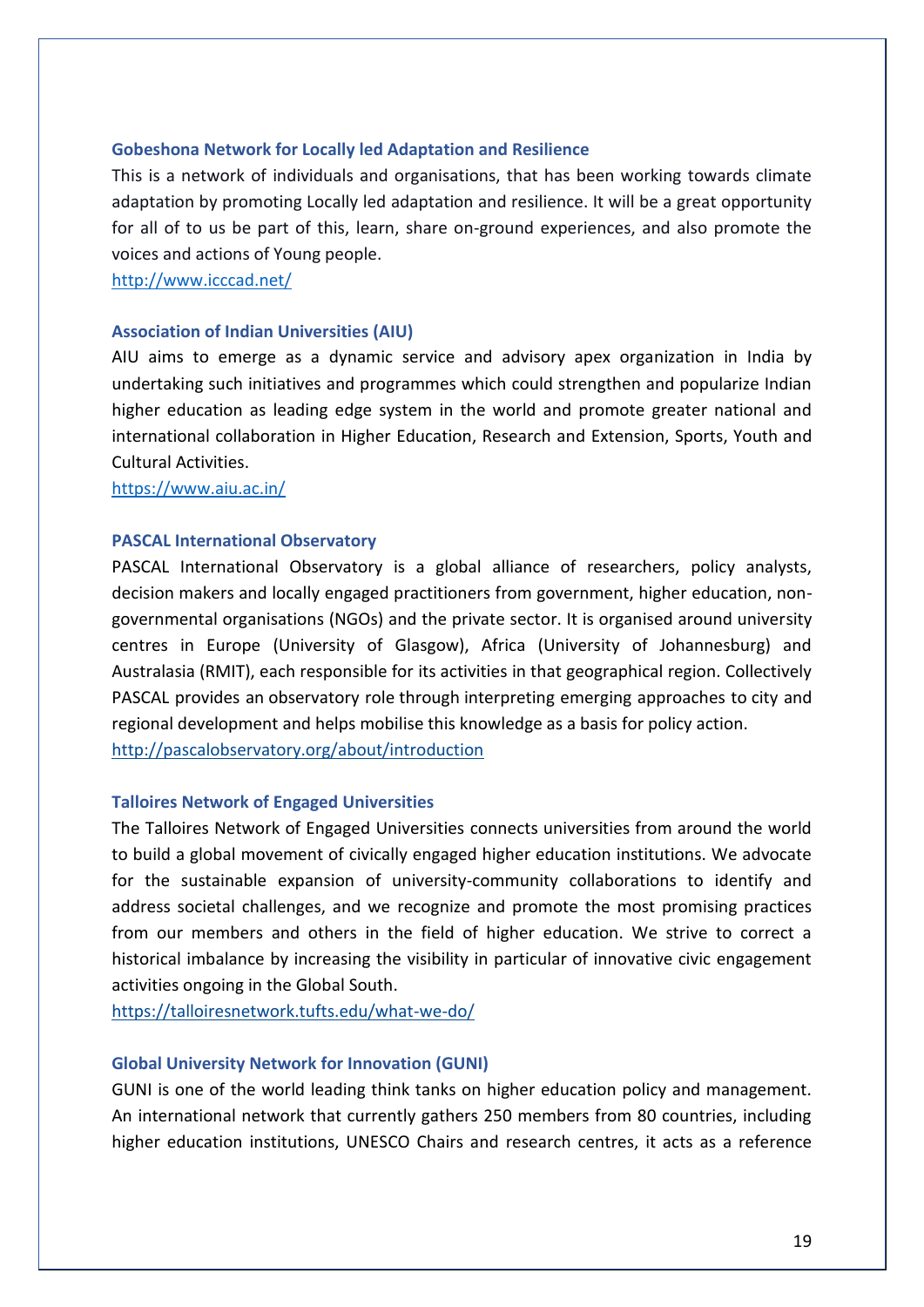#### **Gobeshona Network for Locally led Adaptation and Resilience**

This is a network of individuals and organisations, that has been working towards climate adaptation by promoting Locally led adaptation and resilience. It will be a great opportunity for all of to us be part of this, learn, share on-ground experiences, and also promote the voices and actions of Young people.

<http://www.icccad.net/>

#### **Association of Indian Universities (AIU)**

AIU aims to emerge as a dynamic service and advisory apex organization in India by undertaking such initiatives and programmes which could strengthen and popularize Indian higher education as leading edge system in the world and promote greater national and international collaboration in Higher Education, Research and Extension, Sports, Youth and Cultural Activities.

<https://www.aiu.ac.in/>

#### **PASCAL International Observatory**

PASCAL International Observatory is a global alliance of researchers, policy analysts, decision makers and locally engaged practitioners from government, higher education, nongovernmental organisations (NGOs) and the private sector. It is organised around university centres in Europe (University of Glasgow), Africa (University of Johannesburg) and Australasia (RMIT), each responsible for its activities in that geographical region. Collectively PASCAL provides an observatory role through interpreting emerging approaches to city and regional development and helps mobilise this knowledge as a basis for policy action. <http://pascalobservatory.org/about/introduction>

#### **Talloires Network of Engaged Universities**

The Talloires Network of Engaged Universities connects universities from around the world to build a global movement of civically engaged higher education institutions. We advocate for the sustainable expansion of university-community collaborations to identify and address societal challenges, and we recognize and promote the most promising practices from our members and others in the field of higher education. We strive to correct a historical imbalance by increasing the visibility in particular of innovative civic engagement activities ongoing in the Global South.

<https://talloiresnetwork.tufts.edu/what-we-do/>

#### **Global University Network for Innovation (GUNI)**

GUNI is one of the world leading think tanks on higher education policy and management. An international network that currently gathers 250 members from 80 countries, including higher education institutions, UNESCO Chairs and research centres, it acts as a reference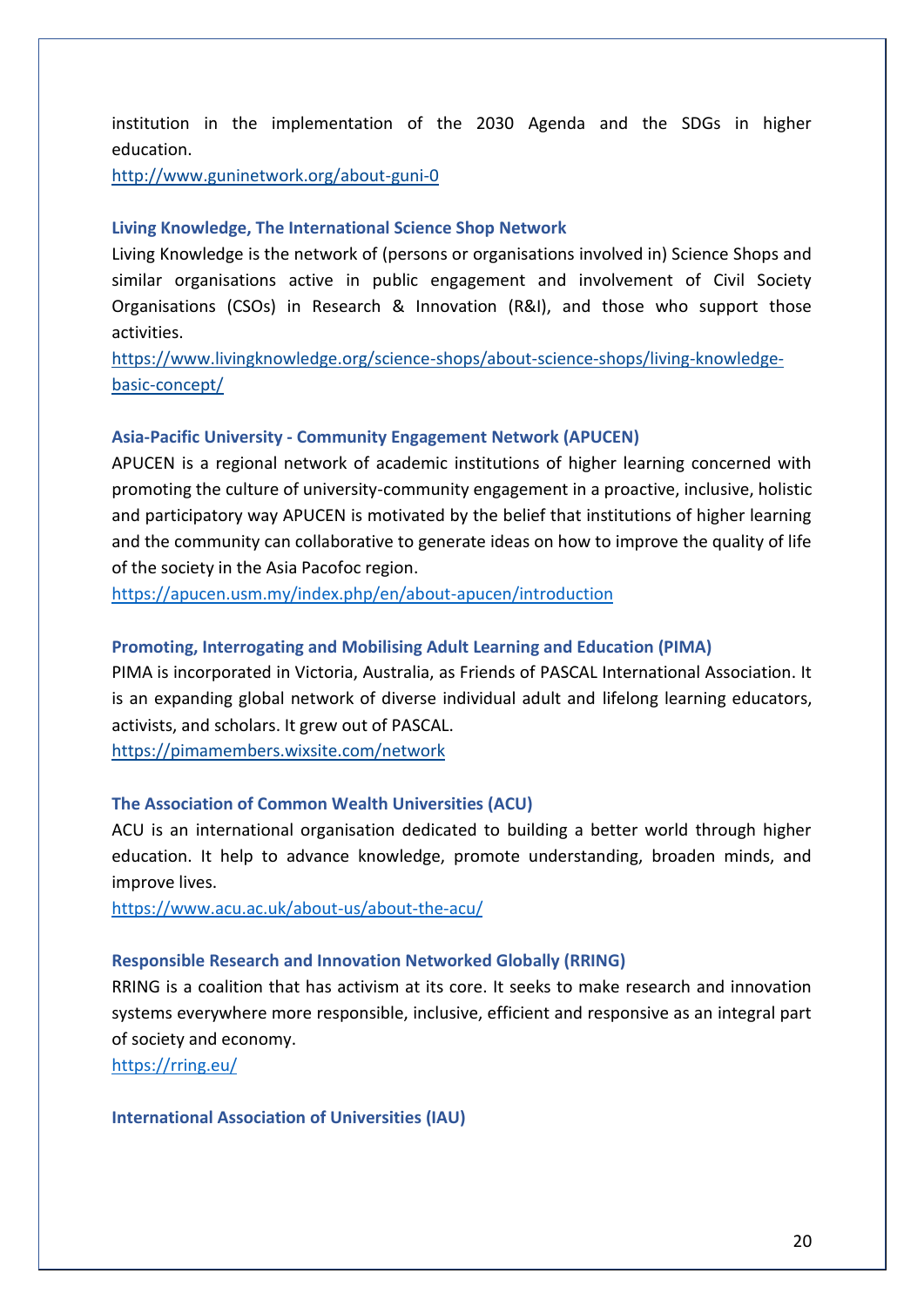institution in the implementation of the 2030 Agenda and the SDGs in higher education.

<http://www.guninetwork.org/about-guni-0>

#### **Living Knowledge, The International Science Shop Network**

Living Knowledge is the network of (persons or organisations involved in) Science Shops and similar organisations active in public engagement and involvement of Civil Society Organisations (CSOs) in Research & Innovation (R&I), and those who support those activities.

[https://www.livingknowledge.org/science-shops/about-science-shops/living-knowledge](https://www.livingknowledge.org/science-shops/about-science-shops/living-knowledge-basic-concept/)[basic-concept/](https://www.livingknowledge.org/science-shops/about-science-shops/living-knowledge-basic-concept/)

#### **Asia-Pacific University - Community Engagement Network (APUCEN)**

APUCEN is a regional network of academic institutions of higher learning concerned with promoting the culture of university-community engagement in a proactive, inclusive, holistic and participatory way APUCEN is motivated by the belief that institutions of higher learning and the community can collaborative to generate ideas on how to improve the quality of life of the society in the Asia Pacofoc region.

<https://apucen.usm.my/index.php/en/about-apucen/introduction>

#### **Promoting, Interrogating and Mobilising Adult Learning and Education (PIMA)**

PIMA is incorporated in Victoria, Australia, as Friends of PASCAL International Association. It is an expanding global network of diverse individual adult and lifelong learning educators, activists, and scholars. It grew out of PASCAL.

<https://pimamembers.wixsite.com/network>

#### **The Association of Common Wealth Universities (ACU)**

ACU is an international organisation dedicated to building a better world through higher education. It help to advance knowledge, promote understanding, broaden minds, and improve lives.

<https://www.acu.ac.uk/about-us/about-the-acu/>

#### **Responsible Research and Innovation Networked Globally (RRING)**

RRING is a coalition that has activism at its core. It seeks to make research and innovation systems everywhere more responsible, inclusive, efficient and responsive as an integral part of society and economy.

<https://rring.eu/>

#### **International Association of Universities (IAU)**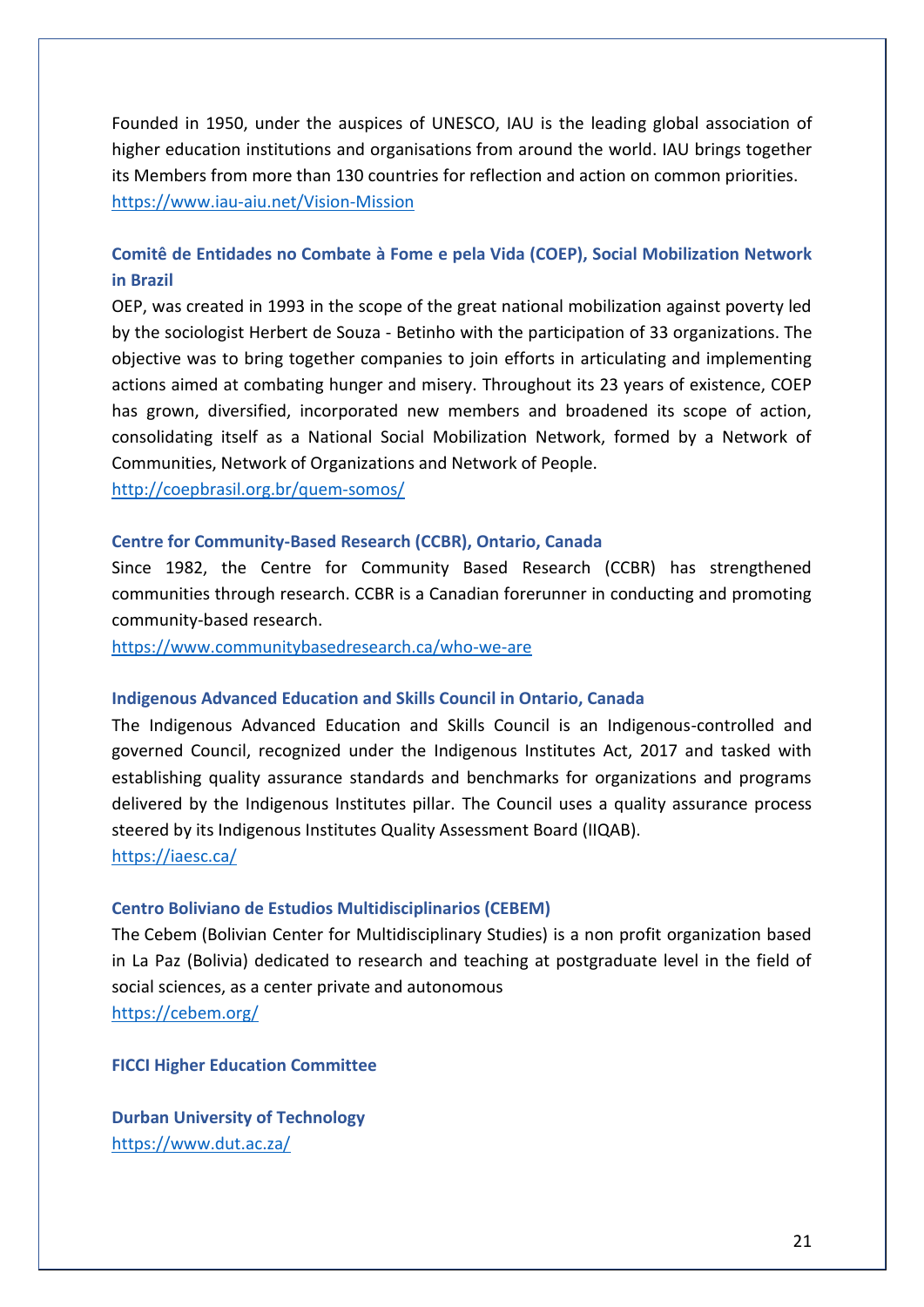Founded in 1950, under the auspices of UNESCO, IAU is the leading global association of higher education institutions and organisations from around the world. IAU brings together its Members from more than 130 countries for reflection and action on common priorities. <https://www.iau-aiu.net/Vision-Mission>

# **Comitê de Entidades no Combate à Fome e pela Vida (COEP), Social Mobilization Network in Brazil**

OEP, was created in 1993 in the scope of the great national mobilization against poverty led by the sociologist Herbert de Souza - Betinho with the participation of 33 organizations. The objective was to bring together companies to join efforts in articulating and implementing actions aimed at combating hunger and misery. Throughout its 23 years of existence, COEP has grown, diversified, incorporated new members and broadened its scope of action, consolidating itself as a National Social Mobilization Network, formed by a Network of Communities, Network of Organizations and Network of People.

<http://coepbrasil.org.br/quem-somos/>

### **Centre for Community-Based Research (CCBR), Ontario, Canada**

Since 1982, the Centre for Community Based Research (CCBR) has strengthened communities through research. CCBR is a Canadian forerunner in conducting and promoting community-based research.

<https://www.communitybasedresearch.ca/who-we-are>

#### **Indigenous Advanced Education and Skills Council in Ontario, Canada**

The Indigenous Advanced Education and Skills Council is an Indigenous-controlled and governed Council, recognized under the Indigenous Institutes Act, 2017 and tasked with establishing quality assurance standards and benchmarks for organizations and programs delivered by the Indigenous Institutes pillar. The Council uses a quality assurance process steered by its Indigenous Institutes Quality Assessment Board (IIQAB).

<https://iaesc.ca/>

### **Centro Boliviano de Estudios Multidisciplinarios (CEBEM)**

The Cebem (Bolivian Center for Multidisciplinary Studies) is a non profit organization based in La Paz (Bolivia) dedicated to research and teaching at postgraduate level in the field of social sciences, as a center private and autonomous <https://cebem.org/>

**FICCI Higher Education Committee**

**Durban University of Technology** <https://www.dut.ac.za/>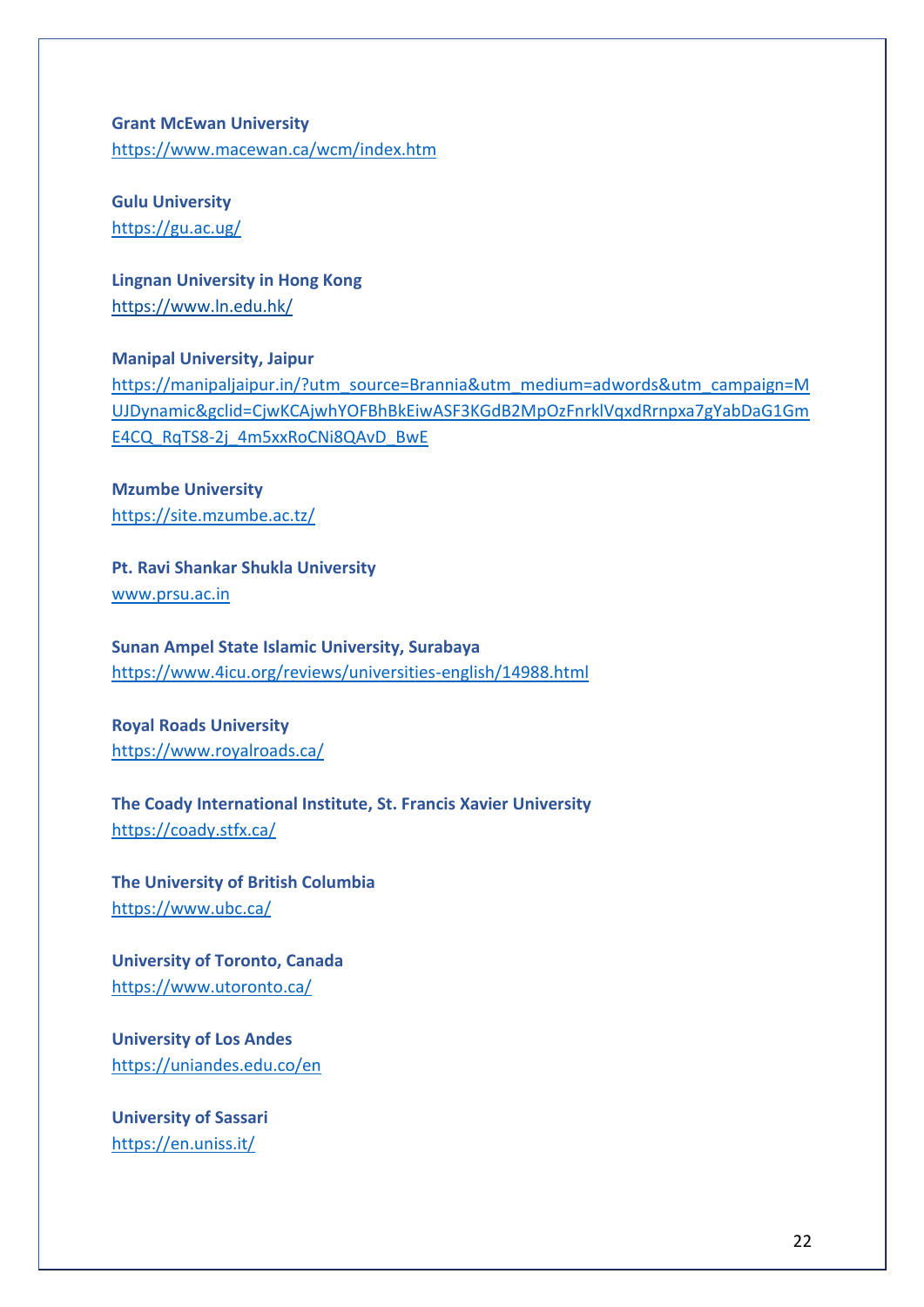**Grant McEwan University** <https://www.macewan.ca/wcm/index.htm>

**Gulu University** <https://gu.ac.ug/>

**Lingnan University in Hong Kong** <https://www.ln.edu.hk/>

**Manipal University, Jaipur** [https://manipaljaipur.in/?utm\\_source=Brannia&utm\\_medium=adwords&utm\\_campaign=M](https://manipaljaipur.in/?utm_source=Brannia&utm_medium=adwords&utm_campaign=MUJDynamic&gclid=CjwKCAjwhYOFBhBkEiwASF3KGdB2MpOzFnrklVqxdRrnpxa7gYabDaG1GmE4CQ_RqTS8-2j_4m5xxRoCNi8QAvD_BwE) [UJDynamic&gclid=CjwKCAjwhYOFBhBkEiwASF3KGdB2MpOzFnrklVqxdRrnpxa7gYabDaG1Gm](https://manipaljaipur.in/?utm_source=Brannia&utm_medium=adwords&utm_campaign=MUJDynamic&gclid=CjwKCAjwhYOFBhBkEiwASF3KGdB2MpOzFnrklVqxdRrnpxa7gYabDaG1GmE4CQ_RqTS8-2j_4m5xxRoCNi8QAvD_BwE) [E4CQ\\_RqTS8-2j\\_4m5xxRoCNi8QAvD\\_BwE](https://manipaljaipur.in/?utm_source=Brannia&utm_medium=adwords&utm_campaign=MUJDynamic&gclid=CjwKCAjwhYOFBhBkEiwASF3KGdB2MpOzFnrklVqxdRrnpxa7gYabDaG1GmE4CQ_RqTS8-2j_4m5xxRoCNi8QAvD_BwE)

**Mzumbe University** <https://site.mzumbe.ac.tz/>

**Pt. Ravi Shankar Shukla University** [www.prsu.ac.in](http://www.prsu.ac.in/)

**Sunan Ampel State Islamic University, Surabaya** <https://www.4icu.org/reviews/universities-english/14988.html>

**Royal Roads University** <https://www.royalroads.ca/>

**The Coady International Institute, St. Francis Xavier University** <https://coady.stfx.ca/>

**The University of British Columbia** <https://www.ubc.ca/>

**University of Toronto, Canada** <https://www.utoronto.ca/>

**University of Los Andes** <https://uniandes.edu.co/en>

**University of Sassari** <https://en.uniss.it/>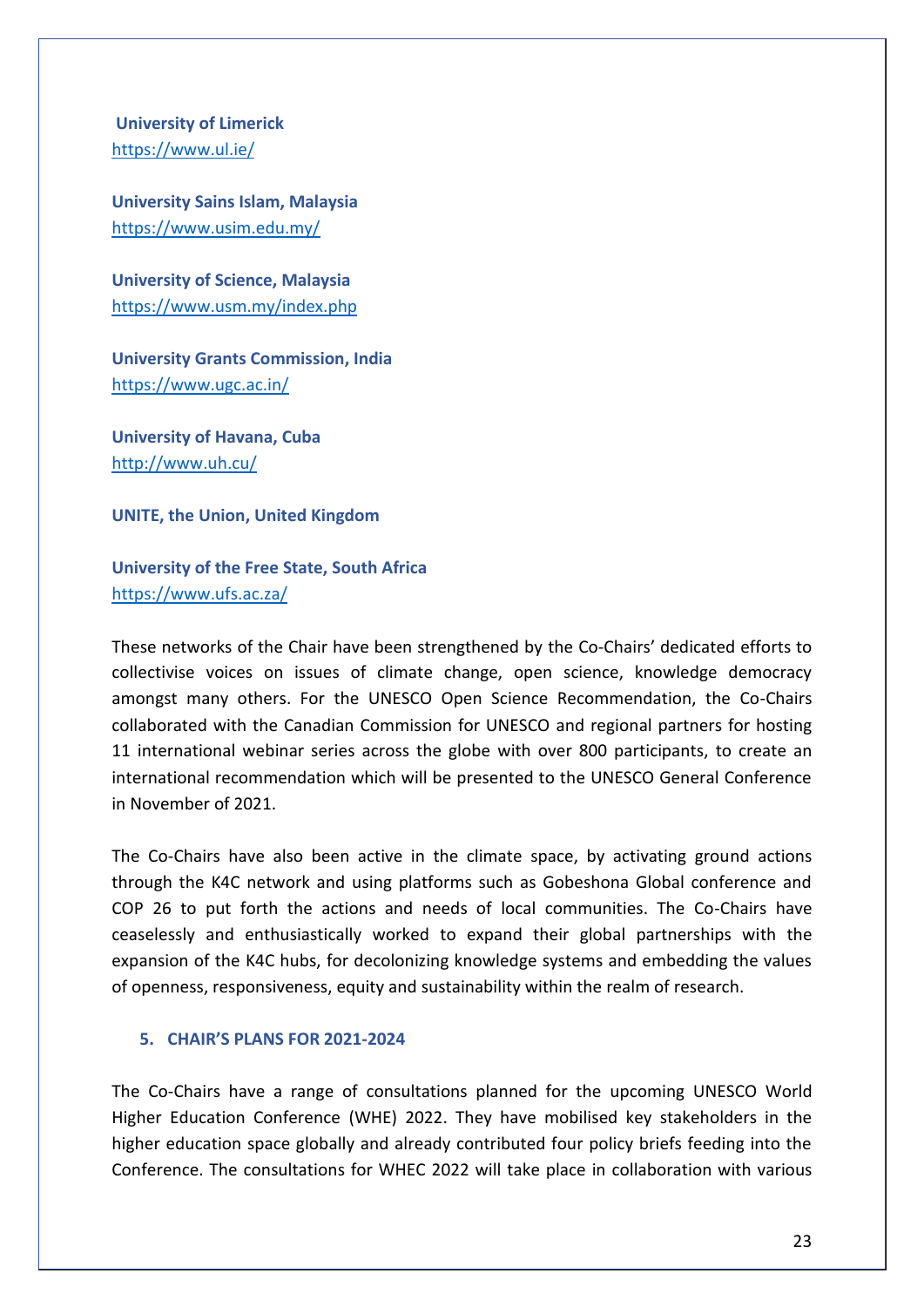**University of Limerick** <https://www.ul.ie/>

**University Sains Islam, Malaysia** <https://www.usim.edu.my/>

**University of Science, Malaysia**  <https://www.usm.my/index.php>

**University Grants Commission, India** <https://www.ugc.ac.in/>

**University of Havana, Cuba** <http://www.uh.cu/>

**UNITE, the Union, United Kingdom**

**University of the Free State, South Africa** <https://www.ufs.ac.za/>

These networks of the Chair have been strengthened by the Co-Chairs' dedicated efforts to collectivise voices on issues of climate change, open science, knowledge democracy amongst many others. For the UNESCO Open Science Recommendation, the Co-Chairs collaborated with the Canadian Commission for UNESCO and regional partners for hosting 11 international webinar series across the globe with over 800 participants, to create an international recommendation which will be presented to the UNESCO General Conference in November of 2021.

The Co-Chairs have also been active in the climate space, by activating ground actions through the K4C network and using platforms such as Gobeshona Global conference and COP 26 to put forth the actions and needs of local communities. The Co-Chairs have ceaselessly and enthusiastically worked to expand their global partnerships with the expansion of the K4C hubs, for decolonizing knowledge systems and embedding the values of openness, responsiveness, equity and sustainability within the realm of research.

### **5. CHAIR'S PLANS FOR 2021-2024**

The Co-Chairs have a range of consultations planned for the upcoming UNESCO World Higher Education Conference (WHE) 2022. They have mobilised key stakeholders in the higher education space globally and already contributed four policy briefs feeding into the Conference. The consultations for WHEC 2022 will take place in collaboration with various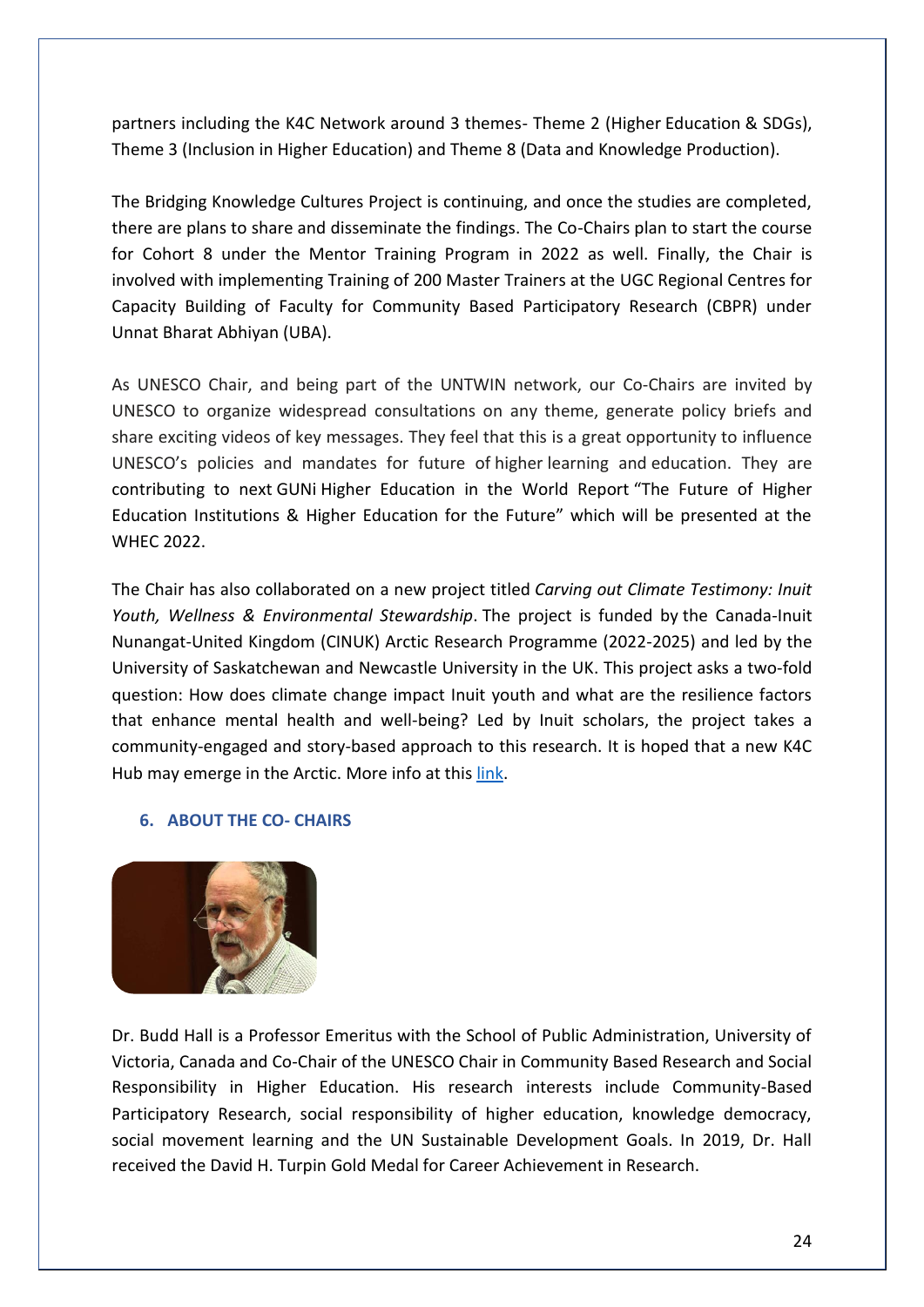partners including the K4C Network around 3 themes- Theme 2 (Higher Education & SDGs), Theme 3 (Inclusion in Higher Education) and Theme 8 (Data and Knowledge Production).

The Bridging Knowledge Cultures Project is continuing, and once the studies are completed, there are plans to share and disseminate the findings. The Co-Chairs plan to start the course for Cohort 8 under the Mentor Training Program in 2022 as well. Finally, the Chair is involved with implementing Training of 200 Master Trainers at the UGC Regional Centres for Capacity Building of Faculty for Community Based Participatory Research (CBPR) under Unnat Bharat Abhiyan (UBA).

As UNESCO Chair, and being part of the UNTWIN network, our Co-Chairs are invited by UNESCO to organize widespread consultations on any theme, generate policy briefs and share exciting videos of key messages. They feel that this is a great opportunity to influence UNESCO's policies and mandates for future of higher learning and education. They are contributing to next GUNi Higher Education in the World Report "The Future of Higher Education Institutions & Higher Education for the Future" which will be presented at the WHEC 2022.

The Chair has also collaborated on a new project titled *Carving out Climate Testimony: Inuit Youth, Wellness & Environmental Stewardship*. The project is funded by the Canada-Inuit Nunangat-United Kingdom (CINUK) Arctic Research Programme (2022-2025) and led by the University of Saskatchewan and Newcastle University in the UK. This project asks a two-fold question: How does climate change impact Inuit youth and what are the resilience factors that enhance mental health and well-being? Led by Inuit scholars, the project takes a community-engaged and story-based approach to this research. It is hoped that a new K4C Hub may emerge in the Arctic. More info at this [link.](https://ourpeopleourclimate.com/news/canada-announces-funding-under-the-new-canada-inuit-nunangat-united-kingdom-arctic-research-programme-2021-25/)

### **6. ABOUT THE CO- CHAIRS**



Dr. Budd Hall is a Professor Emeritus with the School of Public Administration, University of Victoria, Canada and Co-Chair of the UNESCO Chair in Community Based Research and Social Responsibility in Higher Education. His research interests include Community-Based Participatory Research, social responsibility of higher education, knowledge democracy, social movement learning and the UN Sustainable Development Goals. In 2019, Dr. Hall received the David H. Turpin Gold Medal for Career Achievement in Research.